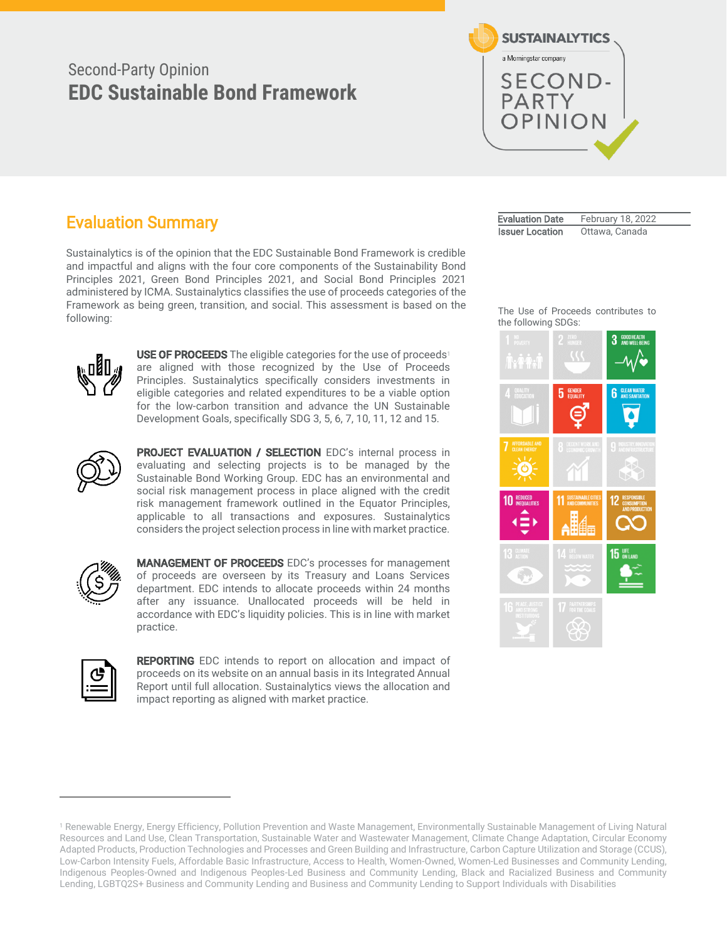# Second-Party Opinion **EDC Sustainable Bond Framework**



# Evaluation Summary

Sustainalytics is of the opinion that the EDC Sustainable Bond Framework is credible and impactful and aligns with the four core components of the Sustainability Bond Principles 2021, Green Bond Principles 2021, and Social Bond Principles 2021 administered by ICMA. Sustainalytics classifies the use of proceeds categories of the Framework as being green, transition, and social. This assessment is based on the following:



USE OF PROCEEDS The eligible categories for the use of proceeds<sup>1</sup> are aligned with those recognized by the Use of Proceeds Principles. Sustainalytics specifically considers investments in eligible categories and related expenditures to be a viable option for the low-carbon transition and advance the UN Sustainable Development Goals, specifically SDG 3, 5, 6, 7, 10, 11, 12 and 15.



PROJECT EVALUATION / SELECTION EDC's internal process in evaluating and selecting projects is to be managed by the Sustainable Bond Working Group. EDC has an environmental and social risk management process in place aligned with the credit risk management framework outlined in the Equator Principles, applicable to all transactions and exposures. Sustainalytics considers the project selection process in line with market practice.



MANAGEMENT OF PROCEEDS EDC's processes for management of proceeds are overseen by its Treasury and Loans Services department. EDC intends to allocate proceeds within 24 months after any issuance. Unallocated proceeds will be held in accordance with EDC's liquidity policies. This is in line with market practice.



REPORTING EDC intends to report on allocation and impact of proceeds on its website on an annual basis in its Integrated Annual Report until full allocation. Sustainalytics views the allocation and impact reporting as aligned with market practice.

Evaluation Date February 18, 2022 **Issuer Location** Ottawa, Canada

The Use of Proceeds contributes to the following SDGs:



<sup>1</sup> Renewable Energy, Energy Efficiency, Pollution Prevention and Waste Management, Environmentally Sustainable Management of Living Natural Resources and Land Use, Clean Transportation, Sustainable Water and Wastewater Management, Climate Change Adaptation, Circular Economy Adapted Products, Production Technologies and Processes and Green Building and Infrastructure, Carbon Capture Utilization and Storage (CCUS), Low-Carbon Intensity Fuels, Affordable Basic Infrastructure, Access to Health, Women-Owned, Women-Led Businesses and Community Lending, Indigenous Peoples-Owned and Indigenous Peoples-Led Business and Community Lending, Black and Racialized Business and Community Lending, LGBTQ2S+ Business and Community Lending and Business and Community Lending to Support Individuals with Disabilities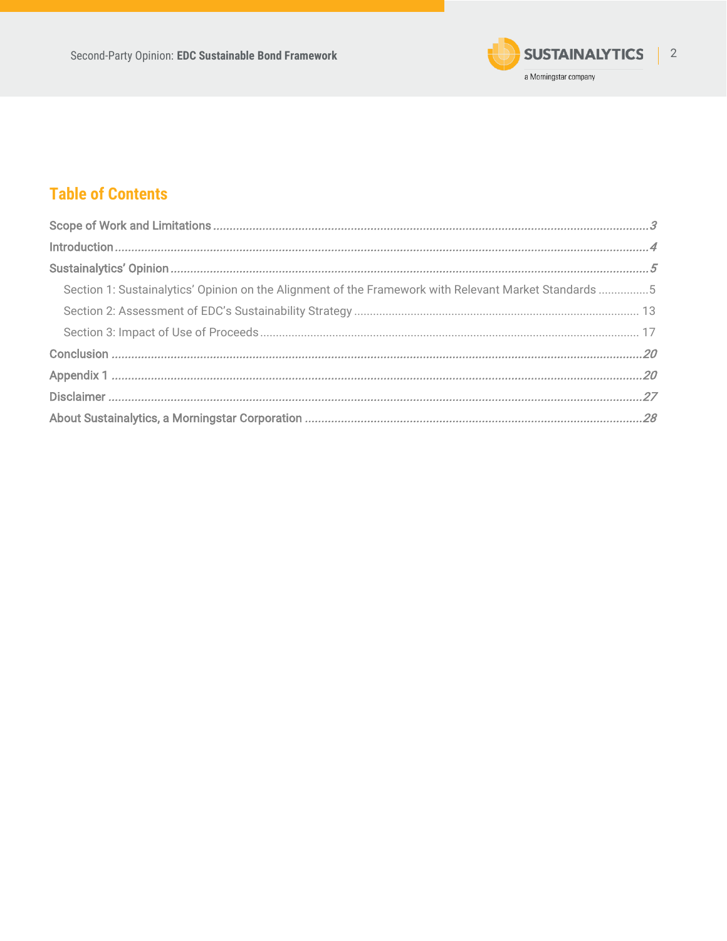

# **Table of Contents**

| Section 1: Sustainalytics' Opinion on the Alignment of the Framework with Relevant Market Standards 5 |  |
|-------------------------------------------------------------------------------------------------------|--|
|                                                                                                       |  |
|                                                                                                       |  |
|                                                                                                       |  |
|                                                                                                       |  |
|                                                                                                       |  |
|                                                                                                       |  |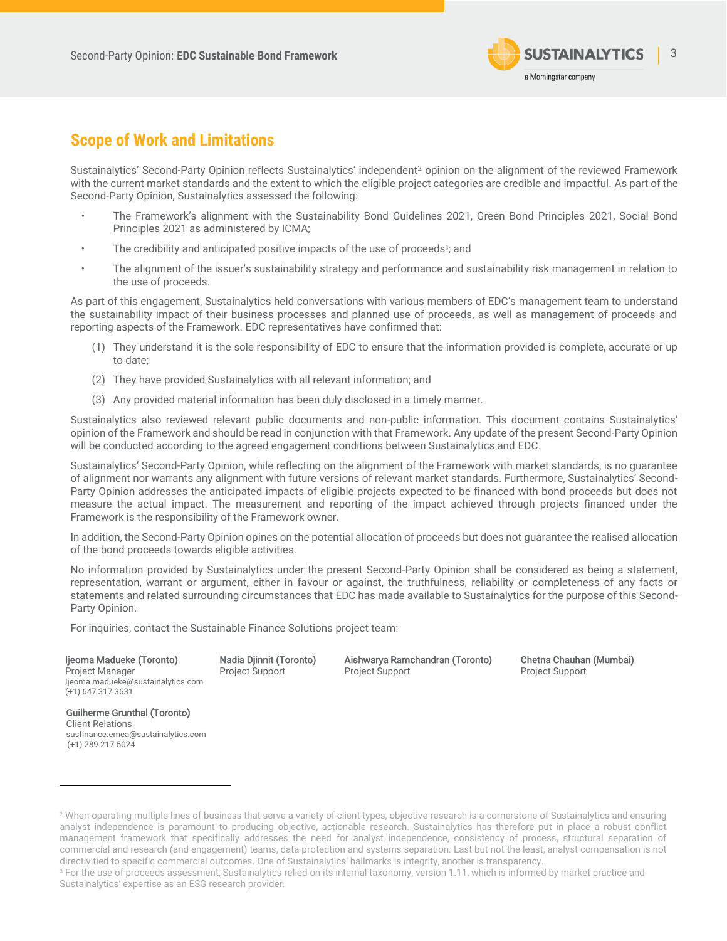

# <span id="page-2-0"></span>**Scope of Work and Limitations**

Sustainalytics' Second-Party Opinion reflects Sustainalytics' independent<sup>2</sup> opinion on the alignment of the reviewed Framework with the current market standards and the extent to which the eligible project categories are credible and impactful. As part of the Second-Party Opinion, Sustainalytics assessed the following:

- The Framework's alignment with the Sustainability Bond Guidelines 2021, Green Bond Principles 2021, Social Bond Principles 2021 as administered by ICMA;
- The credibility and anticipated positive impacts of the use of proceeds $\mathrm{^{_3}$ ; and
- The alignment of the issuer's sustainability strategy and performance and sustainability risk management in relation to the use of proceeds.

As part of this engagement, Sustainalytics held conversations with various members of EDC's management team to understand the sustainability impact of their business processes and planned use of proceeds, as well as management of proceeds and reporting aspects of the Framework. EDC representatives have confirmed that:

- (1) They understand it is the sole responsibility of EDC to ensure that the information provided is complete, accurate or up to date;
- (2) They have provided Sustainalytics with all relevant information; and
- (3) Any provided material information has been duly disclosed in a timely manner.

Sustainalytics also reviewed relevant public documents and non-public information. This document contains Sustainalytics' opinion of the Framework and should be read in conjunction with that Framework. Any update of the present Second-Party Opinion will be conducted according to the agreed engagement conditions between Sustainalytics and EDC.

Sustainalytics' Second-Party Opinion, while reflecting on the alignment of the Framework with market standards, is no guarantee of alignment nor warrants any alignment with future versions of relevant market standards. Furthermore, Sustainalytics' Second-Party Opinion addresses the anticipated impacts of eligible projects expected to be financed with bond proceeds but does not measure the actual impact. The measurement and reporting of the impact achieved through projects financed under the Framework is the responsibility of the Framework owner.

In addition, the Second-Party Opinion opines on the potential allocation of proceeds but does not guarantee the realised allocation of the bond proceeds towards eligible activities.

No information provided by Sustainalytics under the present Second-Party Opinion shall be considered as being a statement, representation, warrant or argument, either in favour or against, the truthfulness, reliability or completeness of any facts or statements and related surrounding circumstances that EDC has made available to Sustainalytics for the purpose of this Second-Party Opinion.

For inquiries, contact the Sustainable Finance Solutions project team:

Ijeoma Madueke (Toronto) Project Manager Ijeoma.madueke@sustainalytics.com (+1) 647 317 3631

Nadia Djinnit (Toronto) Project Support

Aishwarya Ramchandran (Toronto) Project Support

Chetna Chauhan (Mumbai) Project Support

Guilherme Grunthal (Toronto) Client Relations susfinance.emea@sustainalytics.com (+1) 289 217 5024

<sup>&</sup>lt;sup>2</sup> When operating multiple lines of business that serve a variety of client types, objective research is a cornerstone of Sustainalytics and ensuring analyst independence is paramount to producing objective, actionable research. Sustainalytics has therefore put in place a robust conflict management framework that specifically addresses the need for analyst independence, consistency of process, structural separation of commercial and research (and engagement) teams, data protection and systems separation. Last but not the least, analyst compensation is not directly tied to specific commercial outcomes. One of Sustainalytics' hallmarks is integrity, another is transparency.

<sup>&</sup>lt;sup>3</sup> For the use of proceeds assessment, Sustainalytics relied on its internal taxonomy, version 1.11, which is informed by market practice and Sustainalytics' expertise as an ESG research provider.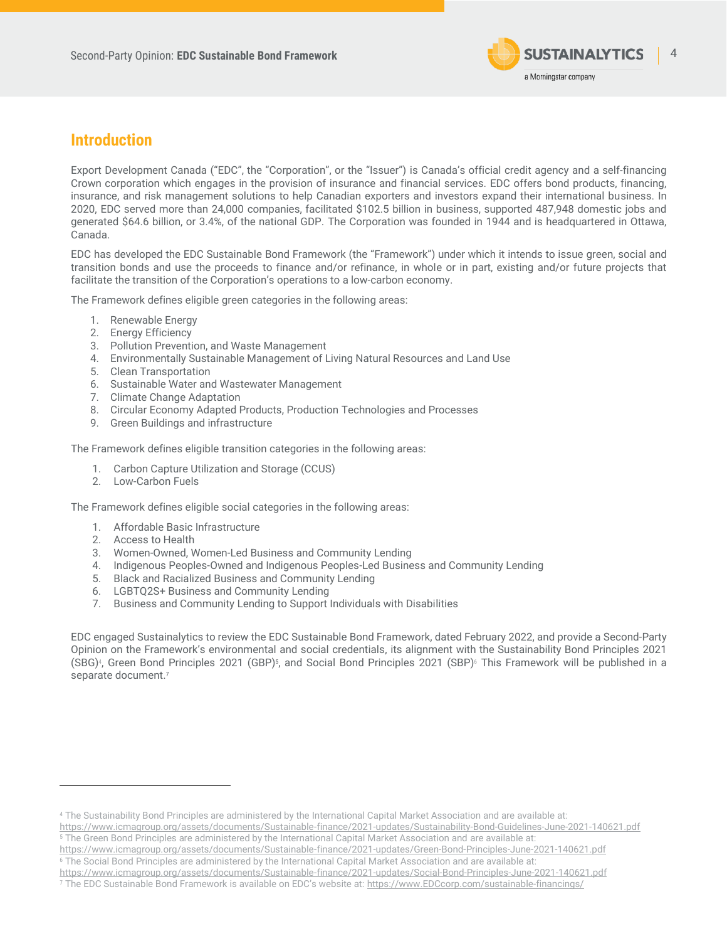

### <span id="page-3-0"></span>**Introduction**

Export Development Canada ("EDC", the "Corporation", or the "Issuer") is Canada's official credit agency and a self-financing Crown corporation which engages in the provision of insurance and financial services. EDC offers bond products, financing, insurance, and risk management solutions to help Canadian exporters and investors expand their international business. In 2020, EDC served more than 24,000 companies, facilitated \$102.5 billion in business, supported 487,948 domestic jobs and generated \$64.6 billion, or 3.4%, of the national GDP. The Corporation was founded in 1944 and is headquartered in Ottawa, Canada.

EDC has developed the EDC Sustainable Bond Framework (the "Framework") under which it intends to issue green, social and transition bonds and use the proceeds to finance and/or refinance, in whole or in part, existing and/or future projects that facilitate the transition of the Corporation's operations to a low-carbon economy.

The Framework defines eligible green categories in the following areas:

- 1. Renewable Energy
- 2. Energy Efficiency
- 3. Pollution Prevention, and Waste Management
- 4. Environmentally Sustainable Management of Living Natural Resources and Land Use
- 5. Clean Transportation
- 6. Sustainable Water and Wastewater Management
- 7. Climate Change Adaptation
- 8. Circular Economy Adapted Products, Production Technologies and Processes
- 9. Green Buildings and infrastructure

The Framework defines eligible transition categories in the following areas:

- 1. Carbon Capture Utilization and Storage (CCUS)
- 2. Low-Carbon Fuels

The Framework defines eligible social categories in the following areas:

- 1. Affordable Basic Infrastructure
- 2. Access to Health
- 3. Women-Owned, Women-Led Business and Community Lending
- 4. Indigenous Peoples-Owned and Indigenous Peoples-Led Business and Community Lending
- 5. Black and Racialized Business and Community Lending
- 6. LGBTQ2S+ Business and Community Lending
- 7. Business and Community Lending to Support Individuals with Disabilities

<span id="page-3-1"></span>EDC engaged Sustainalytics to review the EDC Sustainable Bond Framework, dated February 2022, and provide a Second-Party Opinion on the Framework's environmental and social credentials, its alignment with the Sustainability Bond Principles 2021 (SBG)<sup>4</sup>, Green Bond Principles 2021 (GBP)<sup>5</sup>, and Social Bond Principles 2021 (SBP)<sup>6</sup> This Framework will be published in a separate document.<sup>7</sup>

<https://www.icmagroup.org/assets/documents/Sustainable-finance/2021-updates/Sustainability-Bond-Guidelines-June-2021-140621.pdf> <sup>5</sup> The Green Bond Principles are administered by the International Capital Market Association and are available at:

<sup>4</sup> The Sustainability Bond Principles are administered by the International Capital Market Association and are available at:

https://www.icmagroup.org/assets/documents/Sustainable-finance/2021-updates/Green-Bond-Principles-June-2021-140621.pdf <sup>6</sup> The Social Bond Principles are administered by the International Capital Market Association and are available at:

<https://www.icmagroup.org/assets/documents/Sustainable-finance/2021-updates/Social-Bond-Principles-June-2021-140621.pdf>

<sup>7</sup> The EDC Sustainable Bond Framework is available on EDC's website at: [https://www.EDCcorp.com/sustainable-financings/](https://www.edccorp.com/sustainable-financings/)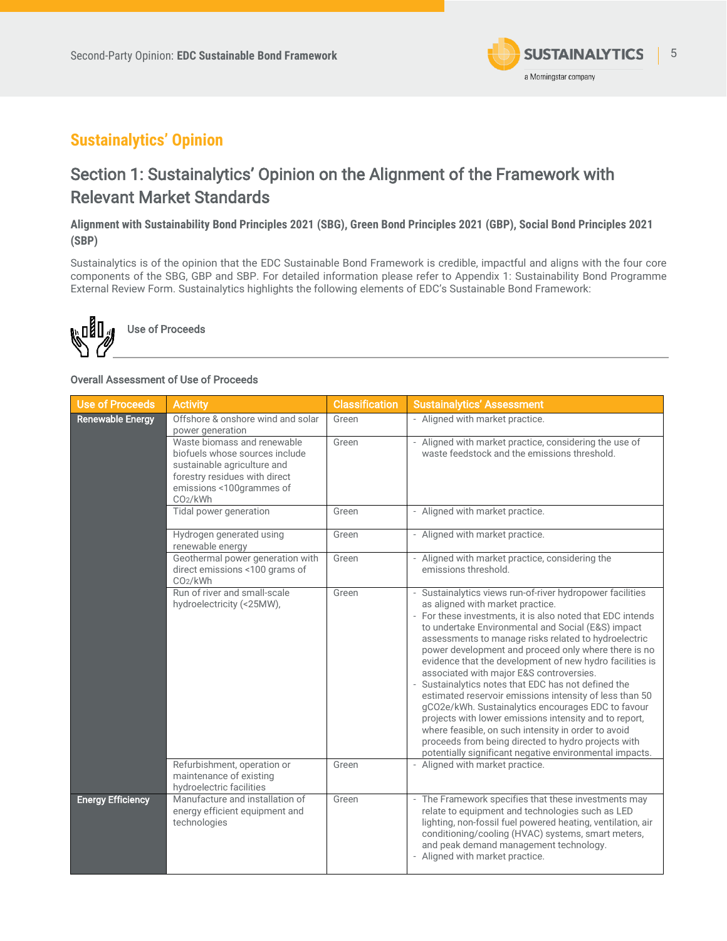

# **Sustainalytics' Opinion**

# <span id="page-4-0"></span>Section 1: Sustainalytics' Opinion on the Alignment of the Framework with Relevant Market Standards

### **Alignment with Sustainability Bond Principles 2021 (SBG), Green Bond Principles 2021 (GBP), Social Bond Principles 2021 (SBP)**

Sustainalytics is of the opinion that the EDC Sustainable Bond Framework is credible, impactful and aligns with the four core components of the SBG, GBP and SBP. For detailed information please refer to Appendix 1: Sustainability Bond Programme External Review Form. Sustainalytics highlights the following elements of EDC's Sustainable Bond Framework:



### Overall Assessment of Use of Proceeds

| <b>Use of Proceeds</b>   | <b>Activity</b>                                                                                                                                                                   | <b>Classification</b> | <b>Sustainalytics' Assessment</b>                                                                                                                                                                                                                                                                                                                                                                                                                                                                                                                                                                                                                                                                                                                                                                                                                    |
|--------------------------|-----------------------------------------------------------------------------------------------------------------------------------------------------------------------------------|-----------------------|------------------------------------------------------------------------------------------------------------------------------------------------------------------------------------------------------------------------------------------------------------------------------------------------------------------------------------------------------------------------------------------------------------------------------------------------------------------------------------------------------------------------------------------------------------------------------------------------------------------------------------------------------------------------------------------------------------------------------------------------------------------------------------------------------------------------------------------------------|
| <b>Renewable Energy</b>  | Offshore & onshore wind and solar<br>power generation                                                                                                                             | Green                 | - Aligned with market practice.                                                                                                                                                                                                                                                                                                                                                                                                                                                                                                                                                                                                                                                                                                                                                                                                                      |
|                          | Waste biomass and renewable<br>biofuels whose sources include<br>sustainable agriculture and<br>forestry residues with direct<br>emissions <100grammes of<br>CO <sub>2</sub> /kWh | Green                 | - Aligned with market practice, considering the use of<br>waste feedstock and the emissions threshold.                                                                                                                                                                                                                                                                                                                                                                                                                                                                                                                                                                                                                                                                                                                                               |
|                          | Tidal power generation                                                                                                                                                            | Green                 | - Aligned with market practice.                                                                                                                                                                                                                                                                                                                                                                                                                                                                                                                                                                                                                                                                                                                                                                                                                      |
|                          | Hydrogen generated using<br>renewable energy                                                                                                                                      | Green                 | - Aligned with market practice.                                                                                                                                                                                                                                                                                                                                                                                                                                                                                                                                                                                                                                                                                                                                                                                                                      |
|                          | Geothermal power generation with<br>direct emissions <100 grams of<br>CO <sub>2</sub> /kWh                                                                                        | Green                 | - Aligned with market practice, considering the<br>emissions threshold.                                                                                                                                                                                                                                                                                                                                                                                                                                                                                                                                                                                                                                                                                                                                                                              |
|                          | Run of river and small-scale<br>hydroelectricity (<25MW),                                                                                                                         | Green                 | - Sustainalytics views run-of-river hydropower facilities<br>as aligned with market practice.<br>- For these investments, it is also noted that EDC intends<br>to undertake Environmental and Social (E&S) impact<br>assessments to manage risks related to hydroelectric<br>power development and proceed only where there is no<br>evidence that the development of new hydro facilities is<br>associated with major E&S controversies.<br>- Sustainalytics notes that EDC has not defined the<br>estimated reservoir emissions intensity of less than 50<br>gCO2e/kWh. Sustainalytics encourages EDC to favour<br>projects with lower emissions intensity and to report,<br>where feasible, on such intensity in order to avoid<br>proceeds from being directed to hydro projects with<br>potentially significant negative environmental impacts. |
|                          | Refurbishment, operation or<br>maintenance of existing<br>hydroelectric facilities                                                                                                | Green                 | - Aligned with market practice.                                                                                                                                                                                                                                                                                                                                                                                                                                                                                                                                                                                                                                                                                                                                                                                                                      |
| <b>Energy Efficiency</b> | Manufacture and installation of<br>energy efficient equipment and<br>technologies                                                                                                 | Green                 | - The Framework specifies that these investments may<br>relate to equipment and technologies such as LED<br>lighting, non-fossil fuel powered heating, ventilation, air<br>conditioning/cooling (HVAC) systems, smart meters,<br>and peak demand management technology.<br>- Aligned with market practice.                                                                                                                                                                                                                                                                                                                                                                                                                                                                                                                                           |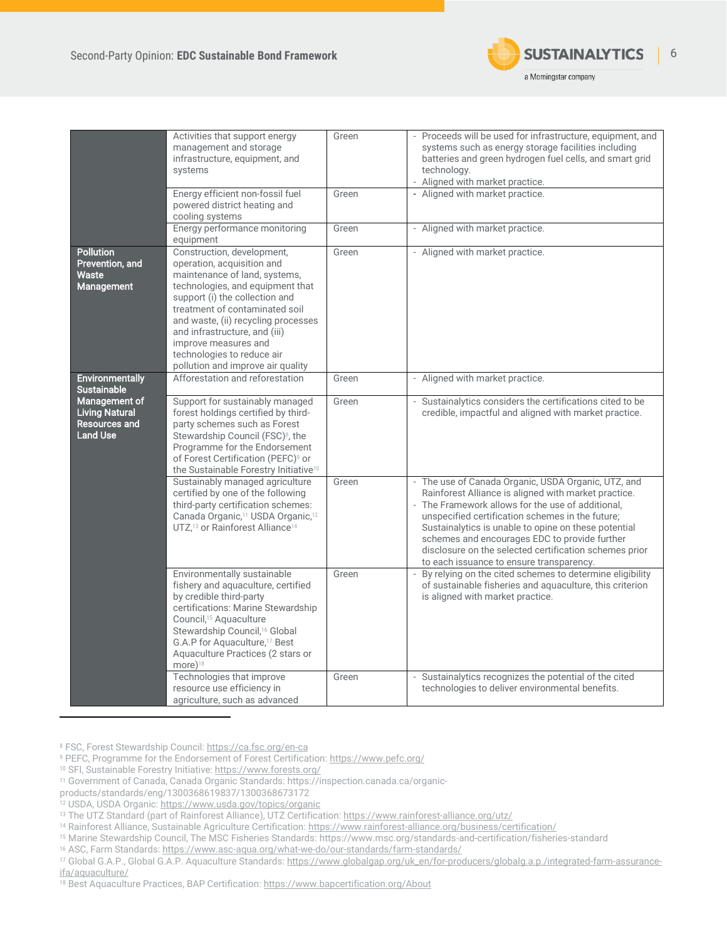

|                                                                                   | Activities that support energy<br>management and storage<br>infrastructure, equipment, and<br>systems<br>Energy efficient non-fossil fuel<br>powered district heating and                                                                                                                                                                                                         | Green<br>Green | - Proceeds will be used for infrastructure, equipment, and<br>systems such as energy storage facilities including<br>batteries and green hydrogen fuel cells, and smart grid<br>technology.<br>- Aligned with market practice.<br>- Aligned with market practice.                                                                                                                                                                                                                                                           |
|-----------------------------------------------------------------------------------|-----------------------------------------------------------------------------------------------------------------------------------------------------------------------------------------------------------------------------------------------------------------------------------------------------------------------------------------------------------------------------------|----------------|-----------------------------------------------------------------------------------------------------------------------------------------------------------------------------------------------------------------------------------------------------------------------------------------------------------------------------------------------------------------------------------------------------------------------------------------------------------------------------------------------------------------------------|
|                                                                                   | cooling systems<br>Energy performance monitoring                                                                                                                                                                                                                                                                                                                                  | Green          | - Aligned with market practice.                                                                                                                                                                                                                                                                                                                                                                                                                                                                                             |
| <b>Pollution</b><br>Prevention, and<br><b>Waste</b><br>Management                 | equipment<br>Construction, development,<br>operation, acquisition and<br>maintenance of land, systems,<br>technologies, and equipment that<br>support (i) the collection and<br>treatment of contaminated soil<br>and waste, (ii) recycling processes<br>and infrastructure, and (iii)<br>improve measures and<br>technologies to reduce air<br>pollution and improve air quality | Green          | - Aligned with market practice.                                                                                                                                                                                                                                                                                                                                                                                                                                                                                             |
| <b>Environmentally</b><br><b>Sustainable</b>                                      | Afforestation and reforestation                                                                                                                                                                                                                                                                                                                                                   | Green          | - Aligned with market practice.                                                                                                                                                                                                                                                                                                                                                                                                                                                                                             |
| Management of<br><b>Living Natural</b><br><b>Resources and</b><br><b>Land Use</b> | Support for sustainably managed<br>forest holdings certified by third-<br>party schemes such as Forest<br>Stewardship Council (FSC) <sup>8</sup> , the<br>Programme for the Endorsement<br>of Forest Certification (PEFC) <sup>9</sup> or<br>the Sustainable Forestry Initiative <sup>10</sup>                                                                                    | Green          | - Sustainalytics considers the certifications cited to be<br>credible, impactful and aligned with market practice.                                                                                                                                                                                                                                                                                                                                                                                                          |
|                                                                                   | Sustainably managed agriculture<br>certified by one of the following<br>third-party certification schemes:<br>Canada Organic, <sup>11</sup> USDA Organic, <sup>12</sup><br>UTZ, <sup>13</sup> or Rainforest Alliance <sup>14</sup><br>Environmentally sustainable                                                                                                                 | Green<br>Green | - The use of Canada Organic, USDA Organic, UTZ, and<br>Rainforest Alliance is aligned with market practice.<br>- The Framework allows for the use of additional.<br>unspecified certification schemes in the future;<br>Sustainalytics is unable to opine on these potential<br>schemes and encourages EDC to provide further<br>disclosure on the selected certification schemes prior<br>to each issuance to ensure transparency.<br>By relying on the cited schemes to determine eligibility<br>$\overline{\phantom{a}}$ |
|                                                                                   | fishery and aquaculture, certified<br>by credible third-party<br>certifications: Marine Stewardship<br>Council, <sup>15</sup> Aquaculture<br>Stewardship Council, <sup>16</sup> Global<br>G.A.P for Aquaculture, <sup>17</sup> Best<br>Aquaculture Practices (2 stars or<br>$more)$ <sup>18</sup>                                                                                 |                | of sustainable fisheries and aquaculture, this criterion<br>is aligned with market practice.                                                                                                                                                                                                                                                                                                                                                                                                                                |
|                                                                                   | Technologies that improve<br>resource use efficiency in<br>agriculture, such as advanced                                                                                                                                                                                                                                                                                          | Green          | Sustainalytics recognizes the potential of the cited<br>technologies to deliver environmental benefits.                                                                                                                                                                                                                                                                                                                                                                                                                     |

<sup>8</sup> FSC, Forest Stewardship Council[: https://ca.fsc.org/en-ca](https://ca.fsc.org/en-ca)

<sup>9</sup> PEFC, Programme for the Endorsement of Forest Certification[: https://www.pefc.org/](https://www.pefc.org/)

<sup>10</sup> SFI, Sustainable Forestry Initiative[: https://www.forests.org/](https://www.forests.org/)

<sup>11</sup> Government of Canada, Canada Organic Standards: https://inspection.canada.ca/organic-

products/standards/eng/1300368619837/1300368673172

<sup>12</sup> USDA, USDA Organic[: https://www.usda.gov/topics/organic](https://www.usda.gov/topics/organic)

<sup>13</sup> The UTZ Standard (part of Rainforest Alliance), UTZ Certification[: https://www.rainforest-alliance.org/utz/](https://www.rainforest-alliance.org/utz/)

<sup>14</sup> Rainforest Alliance, Sustainable Agriculture Certification[: https://www.rainforest-alliance.org/business/certification/](https://www.rainforest-alliance.org/business/certification/)

<sup>15</sup> Marine Stewardship Council, The MSC Fisheries Standards: https://www.msc.org/standards-and-certification/fisheries-standard

<sup>16</sup> ASC, Farm Standards: <https://www.asc-aqua.org/what-we-do/our-standards/farm-standards/>

<sup>17</sup> Global G.A.P., Global G.A.P. Aquaculture Standards[: https://www.globalgap.org/uk\\_en/for-producers/globalg.a.p./integrated-farm-assurance](https://www.globalgap.org/uk_en/for-producers/globalg.a.p./integrated-farm-assurance-ifa/aquaculture/)[ifa/aquaculture/](https://www.globalgap.org/uk_en/for-producers/globalg.a.p./integrated-farm-assurance-ifa/aquaculture/)

<sup>18</sup> Best Aquaculture Practices, BAP Certification[: https://www.bapcertification.org/About](https://www.bapcertification.org/About)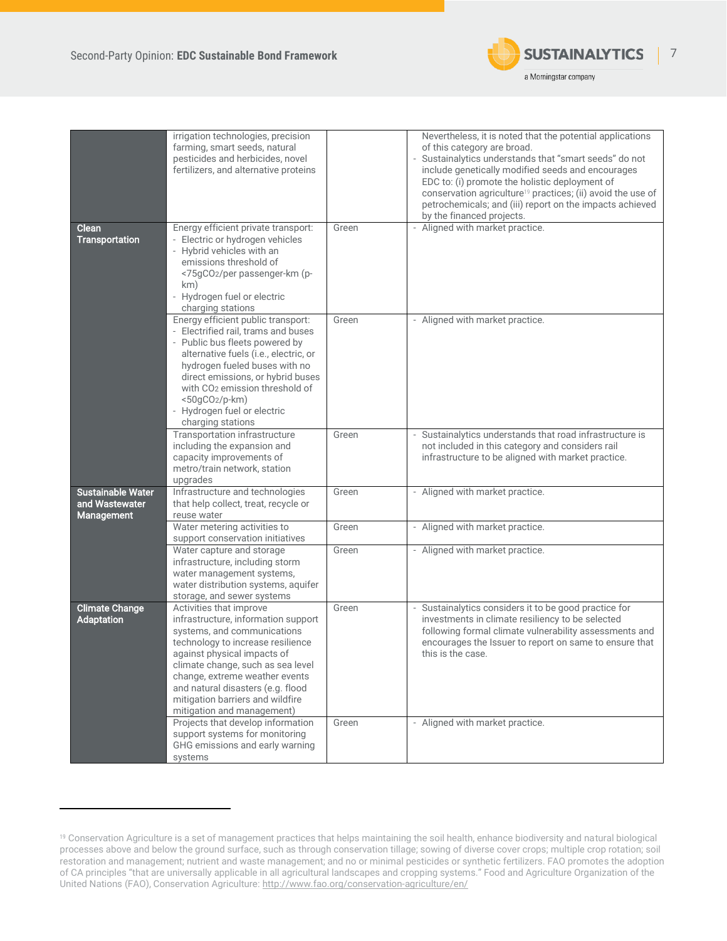

|                          | irrigation technologies, precision                                                                                     |       | Nevertheless, it is noted that the potential applications                                                        |
|--------------------------|------------------------------------------------------------------------------------------------------------------------|-------|------------------------------------------------------------------------------------------------------------------|
|                          | farming, smart seeds, natural<br>pesticides and herbicides, novel                                                      |       | of this category are broad.<br>- Sustainalytics understands that "smart seeds" do not                            |
|                          | fertilizers, and alternative proteins                                                                                  |       | include genetically modified seeds and encourages<br>EDC to: (i) promote the holistic deployment of              |
|                          |                                                                                                                        |       | conservation agriculture <sup>19</sup> practices; (ii) avoid the use of                                          |
|                          |                                                                                                                        |       | petrochemicals; and (iii) report on the impacts achieved<br>by the financed projects.                            |
| Clean                    | Energy efficient private transport:                                                                                    | Green | - Aligned with market practice.                                                                                  |
| <b>Transportation</b>    | - Electric or hydrogen vehicles<br>- Hybrid vehicles with an<br>emissions threshold of<br><75gCO2/per passenger-km (p- |       |                                                                                                                  |
|                          | km)                                                                                                                    |       |                                                                                                                  |
|                          | - Hydrogen fuel or electric                                                                                            |       |                                                                                                                  |
|                          | charging stations<br>Energy efficient public transport:                                                                | Green | - Aligned with market practice.                                                                                  |
|                          | - Electrified rail, trams and buses                                                                                    |       |                                                                                                                  |
|                          | - Public bus fleets powered by<br>alternative fuels (i.e., electric, or                                                |       |                                                                                                                  |
|                          | hydrogen fueled buses with no                                                                                          |       |                                                                                                                  |
|                          | direct emissions, or hybrid buses<br>with CO <sub>2</sub> emission threshold of                                        |       |                                                                                                                  |
|                          | <50gCO2/p-km)                                                                                                          |       |                                                                                                                  |
|                          | - Hydrogen fuel or electric<br>charging stations                                                                       |       |                                                                                                                  |
|                          | Transportation infrastructure                                                                                          | Green | - Sustainalytics understands that road infrastructure is                                                         |
|                          | including the expansion and<br>capacity improvements of                                                                |       | not included in this category and considers rail<br>infrastructure to be aligned with market practice.           |
|                          | metro/train network, station                                                                                           |       |                                                                                                                  |
| <b>Sustainable Water</b> | upgrades<br>Infrastructure and technologies                                                                            | Green | - Aligned with market practice.                                                                                  |
| and Wastewater           | that help collect, treat, recycle or                                                                                   |       |                                                                                                                  |
| <b>Management</b>        | reuse water                                                                                                            |       |                                                                                                                  |
|                          | Water metering activities to<br>support conservation initiatives                                                       | Green | - Aligned with market practice.                                                                                  |
|                          | Water capture and storage                                                                                              | Green | - Aligned with market practice.                                                                                  |
|                          | infrastructure, including storm<br>water management systems,                                                           |       |                                                                                                                  |
|                          | water distribution systems, aquifer                                                                                    |       |                                                                                                                  |
| <b>Climate Change</b>    | storage, and sewer systems<br>Activities that improve                                                                  | Green | - Sustainalytics considers it to be good practice for                                                            |
| <b>Adaptation</b>        | infrastructure, information support                                                                                    |       | investments in climate resiliency to be selected                                                                 |
|                          | systems, and communications<br>technology to increase resilience                                                       |       | following formal climate vulnerability assessments and<br>encourages the Issuer to report on same to ensure that |
|                          | against physical impacts of                                                                                            |       | this is the case.                                                                                                |
|                          | climate change, such as sea level<br>change, extreme weather events                                                    |       |                                                                                                                  |
|                          | and natural disasters (e.g. flood                                                                                      |       |                                                                                                                  |
|                          | mitigation barriers and wildfire                                                                                       |       |                                                                                                                  |
|                          | mitigation and management)<br>Projects that develop information                                                        | Green | - Aligned with market practice.                                                                                  |
|                          | support systems for monitoring                                                                                         |       |                                                                                                                  |
|                          | GHG emissions and early warning<br>systems                                                                             |       |                                                                                                                  |

<sup>19</sup> Conservation Agriculture is a set of management practices that helps maintaining the soil health, enhance biodiversity and natural biological processes above and below the ground surface, such as through conservation tillage; sowing of diverse cover crops; multiple crop rotation; soil restoration and management; nutrient and waste management; and no or minimal pesticides or synthetic fertilizers. FAO promotes the adoption of CA principles "that are universally applicable in all agricultural landscapes and cropping systems." Food and Agriculture Organization of the United Nations (FAO), Conservation Agriculture[: http://www.fao.org/conservation-agriculture/en/](http://www.fao.org/conservation-agriculture/en/)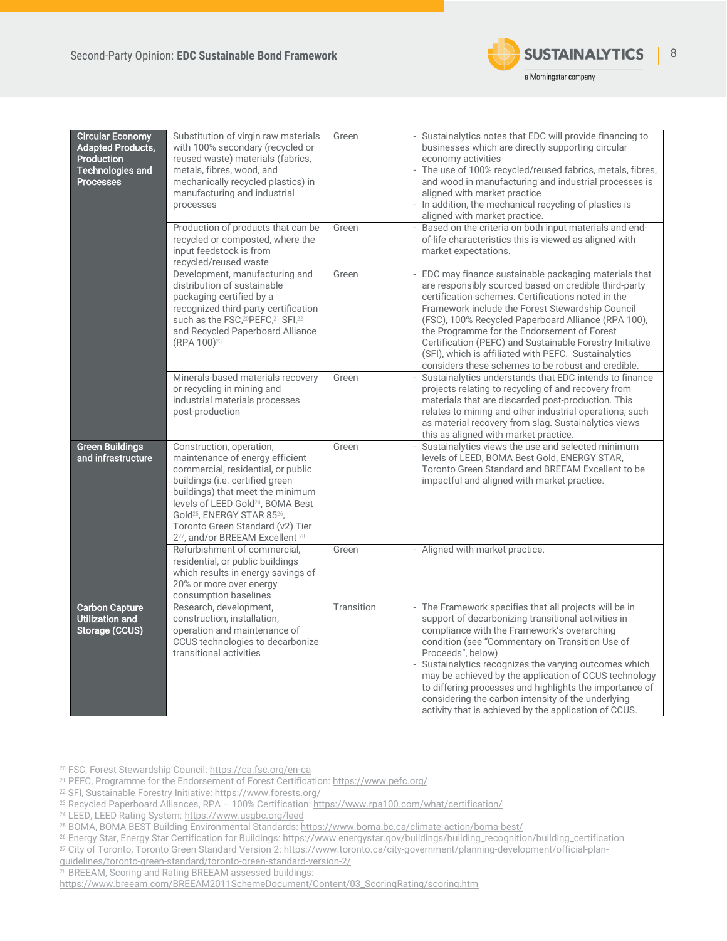

| <b>Circular Economy</b><br><b>Adapted Products,</b><br><b>Production</b><br><b>Technologies and</b><br><b>Processes</b> | Substitution of virgin raw materials<br>with 100% secondary (recycled or<br>reused waste) materials (fabrics,<br>metals, fibres, wood, and<br>mechanically recycled plastics) in<br>manufacturing and industrial<br>processes<br>Production of products that can be<br>recycled or composted, where the<br>input feedstock is from                                              | Green<br>Green | - Sustainalytics notes that EDC will provide financing to<br>businesses which are directly supporting circular<br>economy activities<br>- The use of 100% recycled/reused fabrics, metals, fibres,<br>and wood in manufacturing and industrial processes is<br>aligned with market practice<br>- In addition, the mechanical recycling of plastics is<br>aligned with market practice.<br>Based on the criteria on both input materials and end-<br>of-life characteristics this is viewed as aligned with                        |
|-------------------------------------------------------------------------------------------------------------------------|---------------------------------------------------------------------------------------------------------------------------------------------------------------------------------------------------------------------------------------------------------------------------------------------------------------------------------------------------------------------------------|----------------|-----------------------------------------------------------------------------------------------------------------------------------------------------------------------------------------------------------------------------------------------------------------------------------------------------------------------------------------------------------------------------------------------------------------------------------------------------------------------------------------------------------------------------------|
|                                                                                                                         | recycled/reused waste<br>Development, manufacturing and<br>distribution of sustainable<br>packaging certified by a<br>recognized third-party certification<br>such as the FSC, <sup>20</sup> PEFC, <sup>21</sup> SFI, <sup>22</sup><br>and Recycled Paperboard Alliance<br>(RPA 100) <sup>23</sup>                                                                              | Green          | market expectations.<br>EDC may finance sustainable packaging materials that<br>are responsibly sourced based on credible third-party<br>certification schemes. Certifications noted in the<br>Framework include the Forest Stewardship Council<br>(FSC), 100% Recycled Paperboard Alliance (RPA 100),<br>the Programme for the Endorsement of Forest<br>Certification (PEFC) and Sustainable Forestry Initiative<br>(SFI), which is affiliated with PEFC. Sustainalytics<br>considers these schemes to be robust and credible.   |
|                                                                                                                         | Minerals-based materials recovery<br>or recycling in mining and<br>industrial materials processes<br>post-production                                                                                                                                                                                                                                                            | Green          | Sustainalytics understands that EDC intends to finance<br>projects relating to recycling of and recovery from<br>materials that are discarded post-production. This<br>relates to mining and other industrial operations, such<br>as material recovery from slag. Sustainalytics views<br>this as aligned with market practice.                                                                                                                                                                                                   |
| <b>Green Buildings</b><br>and infrastructure                                                                            | Construction, operation,<br>maintenance of energy efficient<br>commercial, residential, or public<br>buildings (i.e. certified green<br>buildings) that meet the minimum<br>levels of LEED Gold <sup>24</sup> , BOMA Best<br>Gold <sup>25</sup> , ENERGY STAR 85 <sup>26</sup> ,<br>Toronto Green Standard (v2) Tier<br>2 <sup>27</sup> , and/or BREEAM Excellent <sup>28</sup> | Green          | Sustainalytics views the use and selected minimum<br>levels of LEED, BOMA Best Gold, ENERGY STAR,<br>Toronto Green Standard and BREEAM Excellent to be<br>impactful and aligned with market practice.                                                                                                                                                                                                                                                                                                                             |
|                                                                                                                         | Refurbishment of commercial,<br>residential, or public buildings<br>which results in energy savings of<br>20% or more over energy<br>consumption baselines                                                                                                                                                                                                                      | Green          | - Aligned with market practice.                                                                                                                                                                                                                                                                                                                                                                                                                                                                                                   |
| <b>Carbon Capture</b><br>Utilization and<br>Storage (CCUS)                                                              | Research, development,<br>construction, installation,<br>operation and maintenance of<br>CCUS technologies to decarbonize<br>transitional activities                                                                                                                                                                                                                            | Transition     | - The Framework specifies that all projects will be in<br>support of decarbonizing transitional activities in<br>compliance with the Framework's overarching<br>condition (see "Commentary on Transition Use of<br>Proceeds", below)<br>- Sustainalytics recognizes the varying outcomes which<br>may be achieved by the application of CCUS technology<br>to differing processes and highlights the importance of<br>considering the carbon intensity of the underlying<br>activity that is achieved by the application of CCUS. |

<sup>20</sup> FSC, Forest Stewardship Council[: https://ca.fsc.org/en-ca](https://ca.fsc.org/en-ca)

<sup>21</sup> PEFC, Programme for the Endorsement of Forest Certification[: https://www.pefc.org/](https://www.pefc.org/)

<sup>22</sup> SFI, Sustainable Forestry Initiative[: https://www.forests.org/](https://www.forests.org/)

<sup>23</sup> Recycled Paperboard Alliances, RPA – 100% Certification[: https://www.rpa100.com/what/certification/](https://www.rpa100.com/what/certification/)

<sup>24</sup> LEED, LEED Rating System[: https://www.usgbc.org/leed](https://www.usgbc.org/leed)

<sup>25</sup> BOMA, BOMA BEST Building Environmental Standards[: https://www.boma.bc.ca/climate-action/boma-best/](https://www.boma.bc.ca/climate-action/boma-best/)

<sup>&</sup>lt;sup>26</sup> Energy Star, Energy Star Certification for Buildings[: https://www.energystar.gov/buildings/building\\_recognition/building\\_certification](https://www.energystar.gov/buildings/building_recognition/building_certification)

<sup>&</sup>lt;sup>27</sup> City of Toronto, Toronto Green Standard Version 2[: https://www.toronto.ca/city-government/planning-development/official-plan-](https://www.toronto.ca/city-government/planning-development/official-plan-guidelines/toronto-green-standard/toronto-green-standard-version-2/)

[guidelines/toronto-green-standard/toronto-green-standard-version-2/](https://www.toronto.ca/city-government/planning-development/official-plan-guidelines/toronto-green-standard/toronto-green-standard-version-2/)

<sup>28</sup> BREEAM, Scoring and Rating BREEAM assessed buildings:

[https://www.breeam.com/BREEAM2011SchemeDocument/Content/03\\_ScoringRating/scoring.htm](https://www.breeam.com/BREEAM2011SchemeDocument/Content/03_ScoringRating/scoring.htm)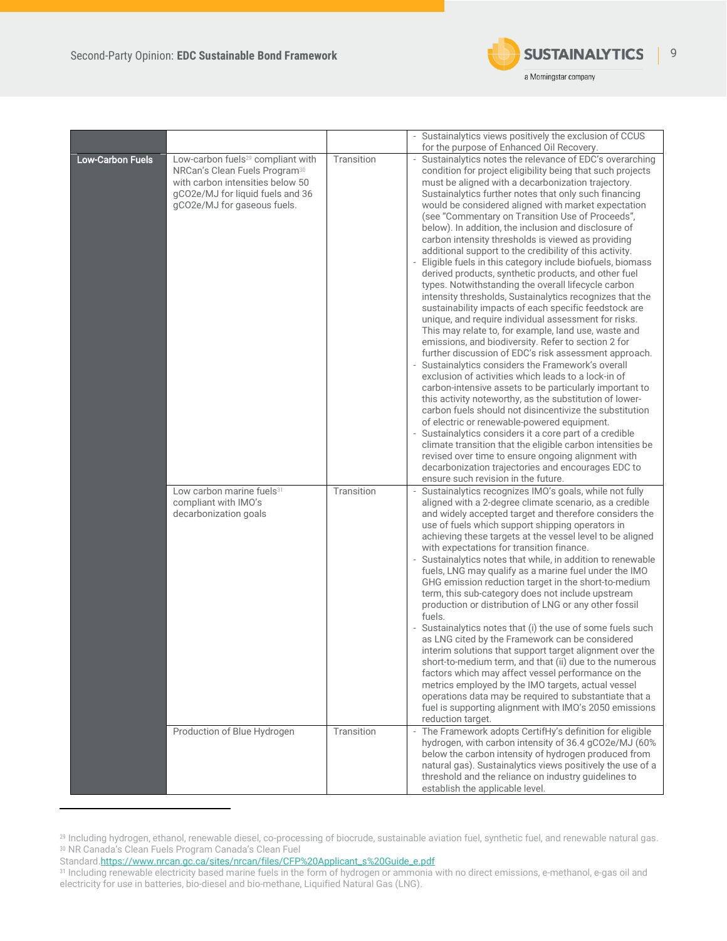

|                         |                                                                                                                                                                                                   |                          | - Sustainalytics views positively the exclusion of CCUS                                                                                                                                                                                                                                                                                                                                                                                                                                                                                                                                                                                                                                                                                                                                                                                                                                                                                                                                                                                                                                                                                                                                                                                                                                                                                                                                                                                                                                                                                                                                                                                                                        |
|-------------------------|---------------------------------------------------------------------------------------------------------------------------------------------------------------------------------------------------|--------------------------|--------------------------------------------------------------------------------------------------------------------------------------------------------------------------------------------------------------------------------------------------------------------------------------------------------------------------------------------------------------------------------------------------------------------------------------------------------------------------------------------------------------------------------------------------------------------------------------------------------------------------------------------------------------------------------------------------------------------------------------------------------------------------------------------------------------------------------------------------------------------------------------------------------------------------------------------------------------------------------------------------------------------------------------------------------------------------------------------------------------------------------------------------------------------------------------------------------------------------------------------------------------------------------------------------------------------------------------------------------------------------------------------------------------------------------------------------------------------------------------------------------------------------------------------------------------------------------------------------------------------------------------------------------------------------------|
|                         |                                                                                                                                                                                                   |                          | for the purpose of Enhanced Oil Recovery.                                                                                                                                                                                                                                                                                                                                                                                                                                                                                                                                                                                                                                                                                                                                                                                                                                                                                                                                                                                                                                                                                                                                                                                                                                                                                                                                                                                                                                                                                                                                                                                                                                      |
| <b>Low-Carbon Fuels</b> | Low-carbon fuels <sup>29</sup> compliant with<br>NRCan's Clean Fuels Program <sup>30</sup><br>with carbon intensities below 50<br>gCO2e/MJ for liquid fuels and 36<br>gCO2e/MJ for gaseous fuels. | Transition               | Sustainalytics notes the relevance of EDC's overarching<br>condition for project eligibility being that such projects<br>must be aligned with a decarbonization trajectory.<br>Sustainalytics further notes that only such financing<br>would be considered aligned with market expectation<br>(see "Commentary on Transition Use of Proceeds",<br>below). In addition, the inclusion and disclosure of<br>carbon intensity thresholds is viewed as providing<br>additional support to the credibility of this activity.<br>Eligible fuels in this category include biofuels, biomass<br>derived products, synthetic products, and other fuel<br>types. Notwithstanding the overall lifecycle carbon<br>intensity thresholds, Sustainalytics recognizes that the<br>sustainability impacts of each specific feedstock are<br>unique, and require individual assessment for risks.<br>This may relate to, for example, land use, waste and<br>emissions, and biodiversity. Refer to section 2 for<br>further discussion of EDC's risk assessment approach.<br>Sustainalytics considers the Framework's overall<br>exclusion of activities which leads to a lock-in of<br>carbon-intensive assets to be particularly important to<br>this activity noteworthy, as the substitution of lower-<br>carbon fuels should not disincentivize the substitution<br>of electric or renewable-powered equipment.<br>Sustainalytics considers it a core part of a credible<br>climate transition that the eligible carbon intensities be<br>revised over time to ensure ongoing alignment with<br>decarbonization trajectories and encourages EDC to<br>ensure such revision in the future. |
|                         | Low carbon marine fuels <sup>31</sup><br>compliant with IMO's<br>decarbonization goals<br>Production of Blue Hydrogen                                                                             | Transition<br>Transition | Sustainalytics recognizes IMO's goals, while not fully<br>aligned with a 2-degree climate scenario, as a credible<br>and widely accepted target and therefore considers the<br>use of fuels which support shipping operators in<br>achieving these targets at the vessel level to be aligned<br>with expectations for transition finance.<br>- Sustainalytics notes that while, in addition to renewable<br>fuels, LNG may qualify as a marine fuel under the IMO<br>GHG emission reduction target in the short-to-medium<br>term, this sub-category does not include upstream<br>production or distribution of LNG or any other fossil<br>fuels.<br>- Sustainalytics notes that (i) the use of some fuels such<br>as LNG cited by the Framework can be considered<br>interim solutions that support target alignment over the<br>short-to-medium term, and that (ii) due to the numerous<br>factors which may affect vessel performance on the<br>metrics employed by the IMO targets, actual vessel<br>operations data may be required to substantiate that a<br>fuel is supporting alignment with IMO's 2050 emissions<br>reduction target.<br>- The Framework adopts CertifHy's definition for eligible                                                                                                                                                                                                                                                                                                                                                                                                                                                                    |
|                         |                                                                                                                                                                                                   |                          | hydrogen, with carbon intensity of 36.4 gCO2e/MJ (60%<br>below the carbon intensity of hydrogen produced from<br>natural gas). Sustainalytics views positively the use of a<br>threshold and the reliance on industry guidelines to<br>establish the applicable level.                                                                                                                                                                                                                                                                                                                                                                                                                                                                                                                                                                                                                                                                                                                                                                                                                                                                                                                                                                                                                                                                                                                                                                                                                                                                                                                                                                                                         |

<sup>29</sup> Including hydrogen, ethanol, renewable diesel, co-processing of biocrude, sustainable aviation fuel, synthetic fuel, and renewable natural gas. <sup>30</sup> NR Canada's Clean Fuels Program Canada's Clean Fuel

Standar[d.https://www.nrcan.gc.ca/sites/nrcan/files/CFP%20Applicant\\_s%20Guide\\_e.pdf](https://www.nrcan.gc.ca/sites/nrcan/files/CFP%20Applicant_s%20Guide_e.pdf)

<sup>31</sup> Including renewable electricity based marine fuels in the form of hydrogen or ammonia with no direct emissions, e-methanol, e-gas oil and electricity for use in batteries, bio-diesel and bio-methane, Liquified Natural Gas (LNG).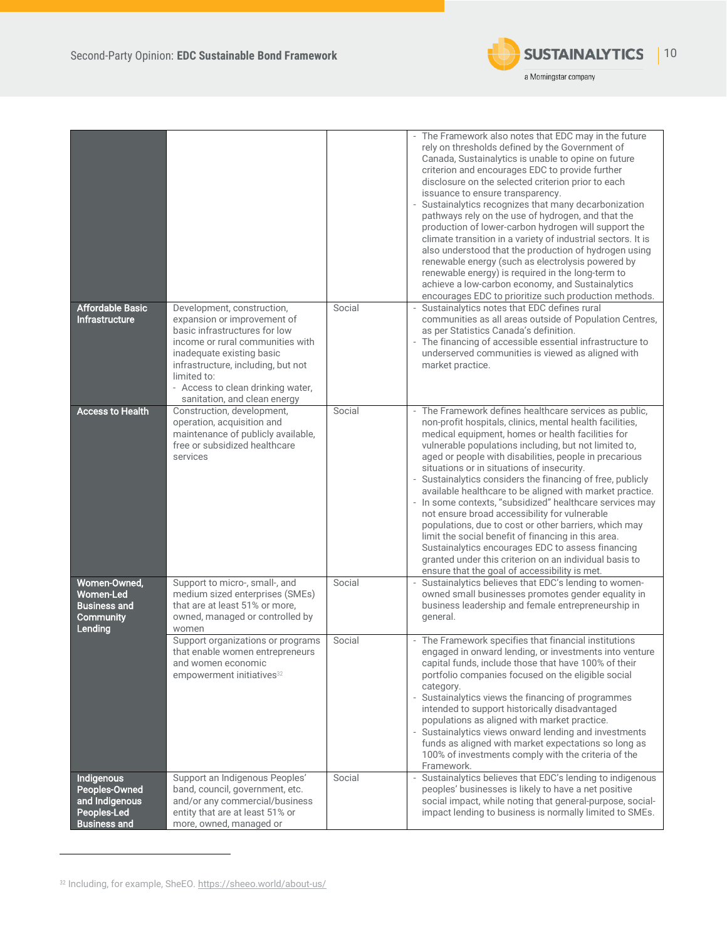

|                                                                                        |                                                                                                                                                                                                                                                                                       |        | - The Framework also notes that EDC may in the future<br>rely on thresholds defined by the Government of<br>Canada, Sustainalytics is unable to opine on future<br>criterion and encourages EDC to provide further<br>disclosure on the selected criterion prior to each<br>issuance to ensure transparency.<br>Sustainalytics recognizes that many decarbonization<br>pathways rely on the use of hydrogen, and that the<br>production of lower-carbon hydrogen will support the<br>climate transition in a variety of industrial sectors. It is<br>also understood that the production of hydrogen using<br>renewable energy (such as electrolysis powered by<br>renewable energy) is required in the long-term to<br>achieve a low-carbon economy, and Sustainalytics<br>encourages EDC to prioritize such production methods.                               |
|----------------------------------------------------------------------------------------|---------------------------------------------------------------------------------------------------------------------------------------------------------------------------------------------------------------------------------------------------------------------------------------|--------|-----------------------------------------------------------------------------------------------------------------------------------------------------------------------------------------------------------------------------------------------------------------------------------------------------------------------------------------------------------------------------------------------------------------------------------------------------------------------------------------------------------------------------------------------------------------------------------------------------------------------------------------------------------------------------------------------------------------------------------------------------------------------------------------------------------------------------------------------------------------|
| <b>Affordable Basic</b><br><b>Infrastructure</b>                                       | Development, construction,<br>expansion or improvement of<br>basic infrastructures for low<br>income or rural communities with<br>inadequate existing basic<br>infrastructure, including, but not<br>limited to:<br>- Access to clean drinking water,<br>sanitation, and clean energy | Social | Sustainalytics notes that EDC defines rural<br>communities as all areas outside of Population Centres,<br>as per Statistics Canada's definition.<br>- The financing of accessible essential infrastructure to<br>underserved communities is viewed as aligned with<br>market practice.                                                                                                                                                                                                                                                                                                                                                                                                                                                                                                                                                                          |
| <b>Access to Health</b>                                                                | Construction, development,<br>operation, acquisition and<br>maintenance of publicly available,<br>free or subsidized healthcare<br>services                                                                                                                                           | Social | - The Framework defines healthcare services as public,<br>non-profit hospitals, clinics, mental health facilities,<br>medical equipment, homes or health facilities for<br>vulnerable populations including, but not limited to,<br>aged or people with disabilities, people in precarious<br>situations or in situations of insecurity.<br>- Sustainalytics considers the financing of free, publicly<br>available healthcare to be aligned with market practice.<br>- In some contexts, "subsidized" healthcare services may<br>not ensure broad accessibility for vulnerable<br>populations, due to cost or other barriers, which may<br>limit the social benefit of financing in this area.<br>Sustainalytics encourages EDC to assess financing<br>granted under this criterion on an individual basis to<br>ensure that the goal of accessibility is met. |
| Women-Owned,<br><b>Women-Led</b><br><b>Business and</b><br><b>Community</b><br>Lending | Support to micro-, small-, and<br>medium sized enterprises (SMEs)<br>that are at least 51% or more,<br>owned, managed or controlled by<br>women                                                                                                                                       | Social | Sustainalytics believes that EDC's lending to women-<br>owned small businesses promotes gender equality in<br>business leadership and female entrepreneurship in<br>general.                                                                                                                                                                                                                                                                                                                                                                                                                                                                                                                                                                                                                                                                                    |
|                                                                                        | Support organizations or programs<br>that enable women entrepreneurs<br>and women economic<br>empowerment initiatives <sup>32</sup>                                                                                                                                                   | Social | - The Framework specifies that financial institutions<br>engaged in onward lending, or investments into venture<br>capital funds, include those that have 100% of their<br>portfolio companies focused on the eligible social<br>category.<br>- Sustainalytics views the financing of programmes<br>intended to support historically disadvantaged<br>populations as aligned with market practice.<br>- Sustainalytics views onward lending and investments<br>funds as aligned with market expectations so long as<br>100% of investments comply with the criteria of the<br>Framework.                                                                                                                                                                                                                                                                        |
| Indigenous<br>Peoples-Owned<br>and Indigenous<br>Peoples-Led<br><b>Business and</b>    | Support an Indigenous Peoples'<br>band, council, government, etc.<br>and/or any commercial/business<br>entity that are at least 51% or<br>more, owned, managed or                                                                                                                     | Social | Sustainalytics believes that EDC's lending to indigenous<br>$\overline{\phantom{a}}$<br>peoples' businesses is likely to have a net positive<br>social impact, while noting that general-purpose, social-<br>impact lending to business is normally limited to SMEs.                                                                                                                                                                                                                                                                                                                                                                                                                                                                                                                                                                                            |

<sup>32</sup> Including, for example, SheEO[. https://sheeo.world/about-us/](https://sheeo.world/about-us/)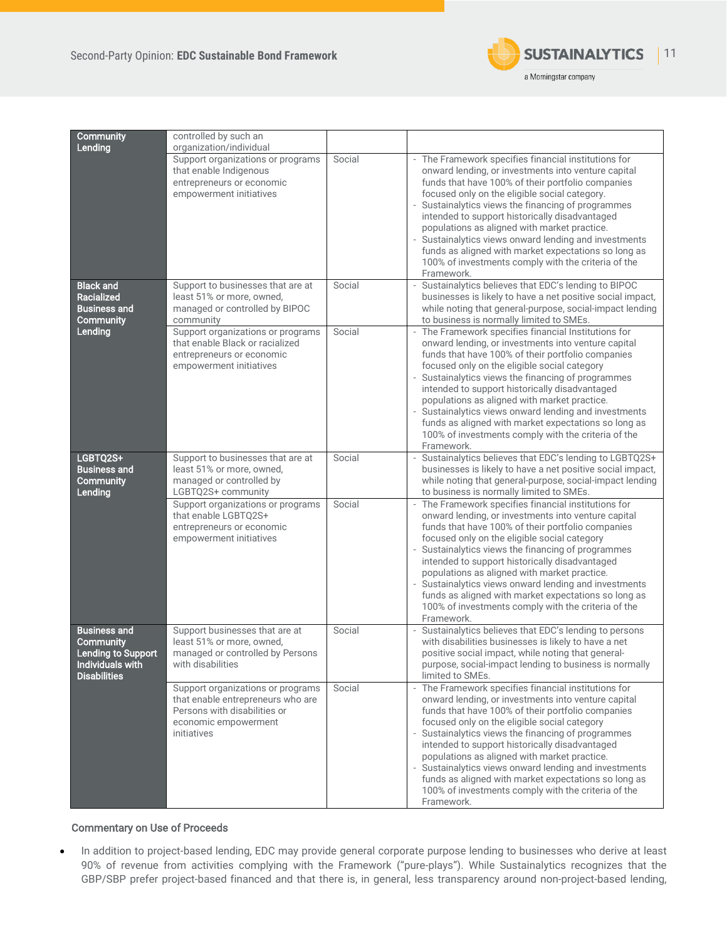

| Community                                                                                                              | controlled by such an                                                                                                                         |        |                                                                                                                                                                                                                                                                                                                                                                                                                                                                                                                                                                |
|------------------------------------------------------------------------------------------------------------------------|-----------------------------------------------------------------------------------------------------------------------------------------------|--------|----------------------------------------------------------------------------------------------------------------------------------------------------------------------------------------------------------------------------------------------------------------------------------------------------------------------------------------------------------------------------------------------------------------------------------------------------------------------------------------------------------------------------------------------------------------|
| Lending                                                                                                                | organization/individual                                                                                                                       |        |                                                                                                                                                                                                                                                                                                                                                                                                                                                                                                                                                                |
|                                                                                                                        | Support organizations or programs<br>that enable Indigenous<br>entrepreneurs or economic<br>empowerment initiatives                           | Social | - The Framework specifies financial institutions for<br>onward lending, or investments into venture capital<br>funds that have 100% of their portfolio companies<br>focused only on the eligible social category.<br>- Sustainalytics views the financing of programmes<br>intended to support historically disadvantaged<br>populations as aligned with market practice.<br>Sustainalytics views onward lending and investments<br>funds as aligned with market expectations so long as<br>100% of investments comply with the criteria of the<br>Framework.  |
| <b>Black and</b><br><b>Racialized</b>                                                                                  | Support to businesses that are at<br>least 51% or more, owned,                                                                                | Social | - Sustainalytics believes that EDC's lending to BIPOC<br>businesses is likely to have a net positive social impact,                                                                                                                                                                                                                                                                                                                                                                                                                                            |
| <b>Business and</b><br><b>Community</b>                                                                                | managed or controlled by BIPOC<br>community                                                                                                   |        | while noting that general-purpose, social-impact lending<br>to business is normally limited to SMEs.                                                                                                                                                                                                                                                                                                                                                                                                                                                           |
| Lending                                                                                                                | Support organizations or programs<br>that enable Black or racialized<br>entrepreneurs or economic<br>empowerment initiatives                  | Social | - The Framework specifies financial Institutions for<br>onward lending, or investments into venture capital<br>funds that have 100% of their portfolio companies<br>focused only on the eligible social category<br>- Sustainalytics views the financing of programmes<br>intended to support historically disadvantaged<br>populations as aligned with market practice.<br>- Sustainalytics views onward lending and investments<br>funds as aligned with market expectations so long as<br>100% of investments comply with the criteria of the<br>Framework. |
| LGBTQ2S+<br><b>Business and</b><br><b>Community</b><br>Lending                                                         | Support to businesses that are at<br>least 51% or more, owned,<br>managed or controlled by<br>LGBTQ2S+ community                              | Social | - Sustainalytics believes that EDC's lending to LGBTQ2S+<br>businesses is likely to have a net positive social impact,<br>while noting that general-purpose, social-impact lending<br>to business is normally limited to SMEs.                                                                                                                                                                                                                                                                                                                                 |
|                                                                                                                        | Support organizations or programs<br>that enable LGBTQ2S+<br>entrepreneurs or economic<br>empowerment initiatives                             | Social | - The Framework specifies financial institutions for<br>onward lending, or investments into venture capital<br>funds that have 100% of their portfolio companies<br>focused only on the eligible social category<br>- Sustainalytics views the financing of programmes<br>intended to support historically disadvantaged<br>populations as aligned with market practice.<br>- Sustainalytics views onward lending and investments<br>funds as aligned with market expectations so long as<br>100% of investments comply with the criteria of the<br>Framework. |
| <b>Business and</b><br><b>Community</b><br><b>Lending to Support</b><br><b>Individuals with</b><br><b>Disabilities</b> | Support businesses that are at<br>least 51% or more, owned,<br>managed or controlled by Persons<br>with disabilities                          | Social | Sustainalytics believes that EDC's lending to persons<br>with disabilities businesses is likely to have a net<br>positive social impact, while noting that general-<br>purpose, social-impact lending to business is normally<br>limited to SMEs.                                                                                                                                                                                                                                                                                                              |
|                                                                                                                        | Support organizations or programs<br>that enable entrepreneurs who are<br>Persons with disabilities or<br>economic empowerment<br>initiatives | Social | - The Framework specifies financial institutions for<br>onward lending, or investments into venture capital<br>funds that have 100% of their portfolio companies<br>focused only on the eligible social category<br>- Sustainalytics views the financing of programmes<br>intended to support historically disadvantaged<br>populations as aligned with market practice.<br>- Sustainalytics views onward lending and investments<br>funds as aligned with market expectations so long as<br>100% of investments comply with the criteria of the<br>Framework. |

### Commentary on Use of Proceeds

• In addition to project-based lending, EDC may provide general corporate purpose lending to businesses who derive at least 90% of revenue from activities complying with the Framework ("pure-plays"). While Sustainalytics recognizes that the GBP/SBP prefer project-based financed and that there is, in general, less transparency around non-project-based lending,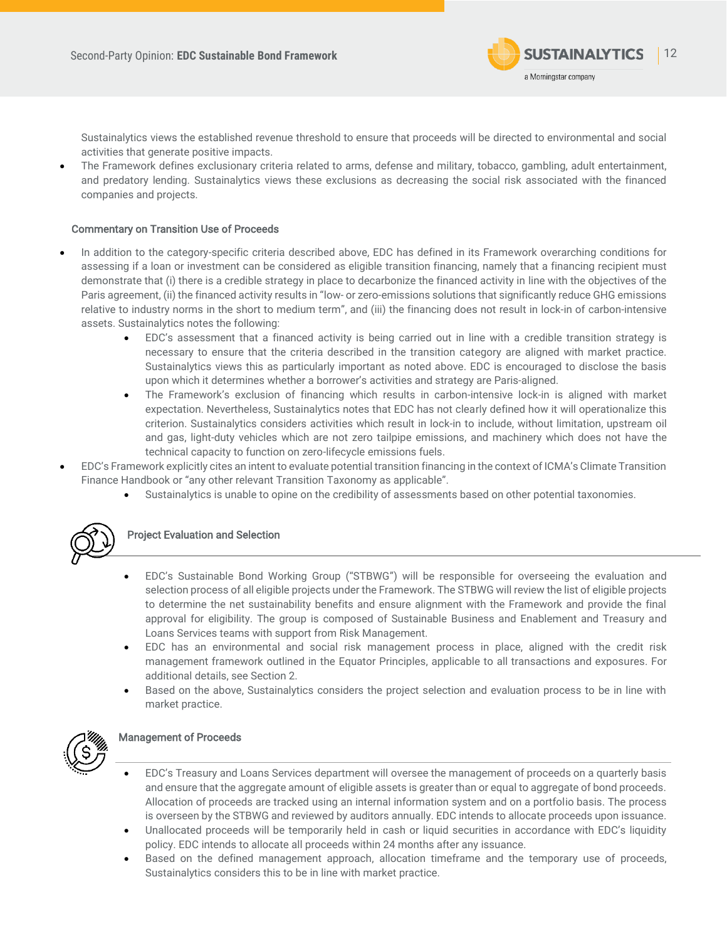

 $\overline{a}$ 

Sustainalytics views the established revenue threshold to ensure that proceeds will be directed to environmental and social activities that generate positive impacts.

• The Framework defines exclusionary criteria related to arms, defense and military, tobacco, gambling, adult entertainment, and predatory lending. Sustainalytics views these exclusions as decreasing the social risk associated with the financed companies and projects.

### Commentary on Transition Use of Proceeds

- In addition to the category-specific criteria described above, EDC has defined in its Framework overarching conditions for assessing if a loan or investment can be considered as eligible transition financing, namely that a financing recipient must demonstrate that (i) there is a credible strategy in place to decarbonize the financed activity in line with the objectives of the Paris agreement, (ii) the financed activity results in "low- or zero-emissions solutions that significantly reduce GHG emissions relative to industry norms in the short to medium term", and (iii) the financing does not result in lock-in of carbon-intensive assets. Sustainalytics notes the following:
	- EDC's assessment that a financed activity is being carried out in line with a credible transition strategy is necessary to ensure that the criteria described in the transition category are aligned with market practice. Sustainalytics views this as particularly important as noted above. EDC is encouraged to disclose the basis upon which it determines whether a borrower's activities and strategy are Paris-aligned.
	- The Framework's exclusion of financing which results in carbon-intensive lock-in is aligned with market expectation. Nevertheless, Sustainalytics notes that EDC has not clearly defined how it will operationalize this criterion. Sustainalytics considers activities which result in lock-in to include, without limitation, upstream oil and gas, light-duty vehicles which are not zero tailpipe emissions, and machinery which does not have the technical capacity to function on zero-lifecycle emissions fuels.
- EDC's Framework explicitly cites an intent to evaluate potential transition financing in the context of ICMA's Climate Transition Finance Handbook or "any other relevant Transition Taxonomy as applicable".
	- Sustainalytics is unable to opine on the credibility of assessments based on other potential taxonomies.



### Project Evaluation and Selection

- EDC's Sustainable Bond Working Group ("STBWG") will be responsible for overseeing the evaluation and selection process of all eligible projects under the Framework. The STBWG will review the list of eligible projects to determine the net sustainability benefits and ensure alignment with the Framework and provide the final approval for eligibility. The group is composed of Sustainable Business and Enablement and Treasury and Loans Services teams with support from Risk Management.
- EDC has an environmental and social risk management process in place, aligned with the credit risk management framework outlined in the Equator Principles, applicable to all transactions and exposures. For additional details, see Section 2.
- Based on the above, Sustainalytics considers the project selection and evaluation process to be in line with market practice.



### Management of Proceeds

- EDC's Treasury and Loans Services department will oversee the management of proceeds on a quarterly basis and ensure that the aggregate amount of eligible assets is greater than or equal to aggregate of bond proceeds. Allocation of proceeds are tracked using an internal information system and on a portfolio basis. The process is overseen by the STBWG and reviewed by auditors annually. EDC intends to allocate proceeds upon issuance.
- Unallocated proceeds will be temporarily held in cash or liquid securities in accordance with EDC's liquidity policy. EDC intends to allocate all proceeds within 24 months after any issuance.
- Based on the defined management approach, allocation timeframe and the temporary use of proceeds, Sustainalytics considers this to be in line with market practice.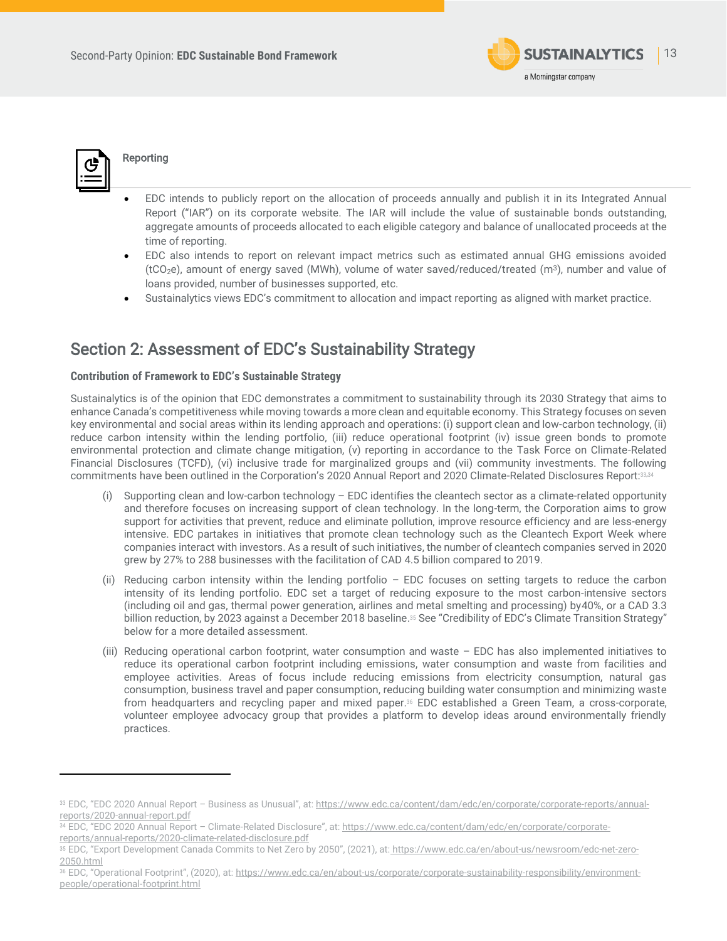



### Reporting

- EDC intends to publicly report on the allocation of proceeds annually and publish it in its Integrated Annual Report ("IAR") on its corporate website. The IAR will include the value of sustainable bonds outstanding, aggregate amounts of proceeds allocated to each eligible category and balance of unallocated proceeds at the time of reporting.
- EDC also intends to report on relevant impact metrics such as estimated annual GHG emissions avoided (tCO<sub>2</sub>e), amount of energy saved (MWh), volume of water saved/reduced/treated (m<sup>3</sup>), number and value of loans provided, number of businesses supported, etc.
- Sustainalytics views EDC's commitment to allocation and impact reporting as aligned with market practice.

# <span id="page-12-0"></span>Section 2: Assessment of EDC's Sustainability Strategy

### **Contribution of Framework to EDC's Sustainable Strategy**

Sustainalytics is of the opinion that EDC demonstrates a commitment to sustainability through its 2030 Strategy that aims to enhance Canada's competitiveness while moving towards a more clean and equitable economy. This Strategy focuses on seven key environmental and social areas within its lending approach and operations: (i) support clean and low-carbon technology, (ii) reduce carbon intensity within the lending portfolio, (iii) reduce operational footprint (iv) issue green bonds to promote environmental protection and climate change mitigation, (v) reporting in accordance to the Task Force on Climate-Related Financial Disclosures (TCFD), (vi) inclusive trade for marginalized groups and (vii) community investments. The following commitments have been outlined in the Corporation's 2020 Annual Report and 2020 Climate-Related Disclosures Report:33,<sup>34</sup>

- Supporting clean and low-carbon technology  $-$  EDC identifies the cleantech sector as a climate-related opportunity and therefore focuses on increasing support of clean technology. In the long-term, the Corporation aims to grow support for activities that prevent, reduce and eliminate pollution, improve resource efficiency and are less-energy intensive. EDC partakes in initiatives that promote clean technology such as the Cleantech Export Week where companies interact with investors. As a result of such initiatives, the number of cleantech companies served in 2020 grew by 27% to 288 businesses with the facilitation of CAD 4.5 billion compared to 2019.
- (ii) Reducing carbon intensity within the lending portfolio EDC focuses on setting targets to reduce the carbon intensity of its lending portfolio. EDC set a target of reducing exposure to the most carbon-intensive sectors (including oil and gas, thermal power generation, airlines and metal smelting and processing) by40%, or a CAD 3.3 billion reduction, by 2023 against a December 2018 baseline. <sup>35</sup> See "Credibility of EDC's Climate Transition Strategy" below for a more detailed assessment.
- (iii) Reducing operational carbon footprint, water consumption and waste EDC has also implemented initiatives to reduce its operational carbon footprint including emissions, water consumption and waste from facilities and employee activities. Areas of focus include reducing emissions from electricity consumption, natural gas consumption, business travel and paper consumption, reducing building water consumption and minimizing waste from headquarters and recycling paper and mixed paper.<sup>36</sup> EDC established a Green Team, a cross-corporate, volunteer employee advocacy group that provides a platform to develop ideas around environmentally friendly practices.

<sup>33</sup> EDC, "EDC 2020 Annual Report - Business as Unusual", at: [https://www.edc.ca/content/dam/edc/en/corporate/corporate-reports/annual](https://www.edc.ca/content/dam/edc/en/corporate/corporate-reports/annual-reports/2020-annual-report.pdf)[reports/2020-annual-report.pdf](https://www.edc.ca/content/dam/edc/en/corporate/corporate-reports/annual-reports/2020-annual-report.pdf)

<sup>34</sup> EDC, "EDC 2020 Annual Report – Climate-Related Disclosure", at: [https://www.edc.ca/content/dam/edc/en/corporate/corporate](https://www.edc.ca/content/dam/edc/en/corporate/corporate-reports/annual-reports/2020-climate-related-disclosure.pdf)[reports/annual-reports/2020-climate-related-disclosure.pdf](https://www.edc.ca/content/dam/edc/en/corporate/corporate-reports/annual-reports/2020-climate-related-disclosure.pdf) 

<sup>35</sup> EDC, "Export Development Canada Commits to Net Zero by 2050", (2021), at: [https://www.edc.ca/en/about-us/newsroom/edc-net-zero-](https://www.edc.ca/en/about-us/newsroom/edc-net-zero-2050.html)[2050.html](https://www.edc.ca/en/about-us/newsroom/edc-net-zero-2050.html) 

<sup>36</sup> EDC, "Operational Footprint", (2020), at: [https://www.edc.ca/en/about-us/corporate/corporate-sustainability-responsibility/environment](https://www.edc.ca/en/about-us/corporate/corporate-sustainability-responsibility/environment-people/operational-footprint.html)[people/operational-footprint.html](https://www.edc.ca/en/about-us/corporate/corporate-sustainability-responsibility/environment-people/operational-footprint.html)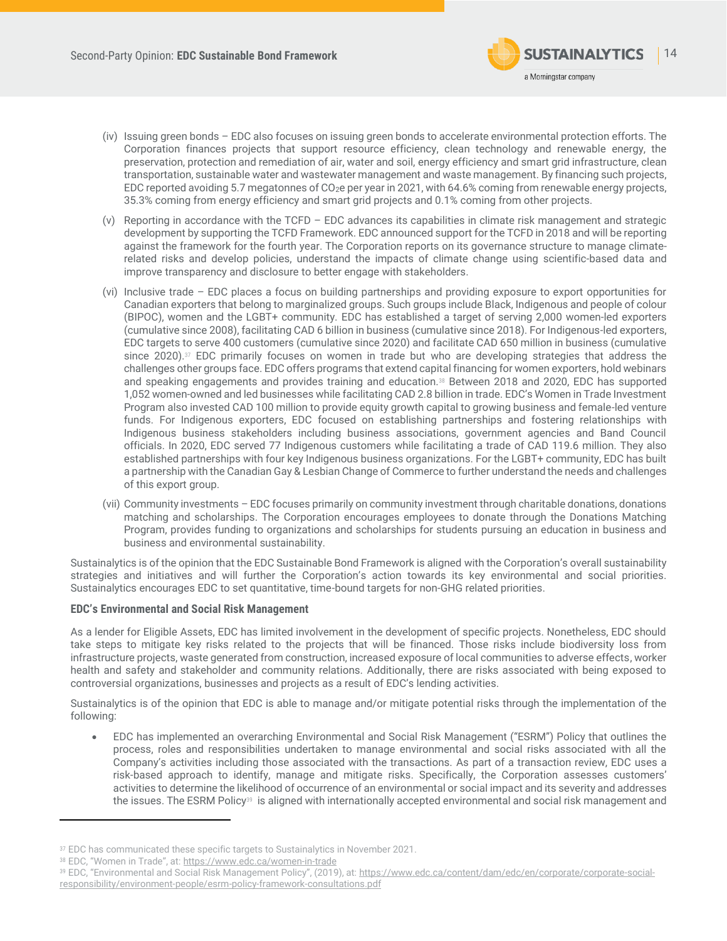

- (iv) Issuing green bonds EDC also focuses on issuing green bonds to accelerate environmental protection efforts. The Corporation finances projects that support resource efficiency, clean technology and renewable energy, the preservation, protection and remediation of air, water and soil, energy efficiency and smart grid infrastructure, clean transportation, sustainable water and wastewater management and waste management. By financing such projects, EDC reported avoiding 5.7 megatonnes of CO<sub>2</sub>e per year in 2021, with 64.6% coming from renewable energy projects, 35.3% coming from energy efficiency and smart grid projects and 0.1% coming from other projects.
- (v) Reporting in accordance with the TCFD EDC advances its capabilities in climate risk management and strategic development by supporting the TCFD Framework. EDC announced support for the TCFD in 2018 and will be reporting against the framework for the fourth year. The Corporation reports on its governance structure to manage climaterelated risks and develop policies, understand the impacts of climate change using scientific-based data and improve transparency and disclosure to better engage with stakeholders.
- (vi) Inclusive trade EDC places a focus on building partnerships and providing exposure to export opportunities for Canadian exporters that belong to marginalized groups. Such groups include Black, Indigenous and people of colour (BIPOC), women and the LGBT+ community. EDC has established a target of serving 2,000 women-led exporters (cumulative since 2008), facilitating CAD 6 billion in business (cumulative since 2018). For Indigenous-led exporters, EDC targets to serve 400 customers (cumulative since 2020) and facilitate CAD 650 million in business (cumulative since 2020).<sup>37</sup> EDC primarily focuses on women in trade but who are developing strategies that address the challenges other groups face. EDC offers programs that extend capital financing for women exporters, hold webinars and speaking engagements and provides training and education.<sup>38</sup> Between 2018 and 2020, EDC has supported 1,052 women-owned and led businesses while facilitating CAD 2.8 billion in trade. EDC's Women in Trade Investment Program also invested CAD 100 million to provide equity growth capital to growing business and female-led venture funds. For Indigenous exporters, EDC focused on establishing partnerships and fostering relationships with Indigenous business stakeholders including business associations, government agencies and Band Council officials. In 2020, EDC served 77 Indigenous customers while facilitating a trade of CAD 119.6 million. They also established partnerships with four key Indigenous business organizations. For the LGBT+ community, EDC has built a partnership with the Canadian Gay & Lesbian Change of Commerce to further understand the needs and challenges of this export group.
- (vii) Community investments EDC focuses primarily on community investment through charitable donations, donations matching and scholarships. The Corporation encourages employees to donate through the Donations Matching Program, provides funding to organizations and scholarships for students pursuing an education in business and business and environmental sustainability.

Sustainalytics is of the opinion that the EDC Sustainable Bond Framework is aligned with the Corporation's overall sustainability strategies and initiatives and will further the Corporation's action towards its key environmental and social priorities. Sustainalytics encourages EDC to set quantitative, time-bound targets for non-GHG related priorities.

### **EDC's Environmental and Social Risk Management**

As a lender for Eligible Assets, EDC has limited involvement in the development of specific projects. Nonetheless, EDC should take steps to mitigate key risks related to the projects that will be financed. Those risks include biodiversity loss from infrastructure projects, waste generated from construction, increased exposure of local communities to adverse effects, worker health and safety and stakeholder and community relations. Additionally, there are risks associated with being exposed to controversial organizations, businesses and projects as a result of EDC's lending activities.

Sustainalytics is of the opinion that EDC is able to manage and/or mitigate potential risks through the implementation of the following:

• EDC has implemented an overarching Environmental and Social Risk Management ("ESRM") Policy that outlines the process, roles and responsibilities undertaken to manage environmental and social risks associated with all the Company's activities including those associated with the transactions. As part of a transaction review, EDC uses a risk-based approach to identify, manage and mitigate risks. Specifically, the Corporation assesses customers' activities to determine the likelihood of occurrence of an environmental or social impact and its severity and addresses the issues. The ESRM Policy<sup>39</sup> is aligned with internationally accepted environmental and social risk management and

<sup>&</sup>lt;sup>37</sup> EDC has communicated these specific targets to Sustainalytics in November 2021.

<sup>38</sup> EDC, "Women in Trade", at: <https://www.edc.ca/women-in-trade>

<sup>39</sup> EDC, "Environmental and Social Risk Management Policy", (2019), at: [https://www.edc.ca/content/dam/edc/en/corporate/corporate-social](https://www.edc.ca/content/dam/edc/en/corporate/corporate-social-responsibility/environment-people/esrm-policy-framework-consultations.pdf)[responsibility/environment-people/esrm-policy-framework-consultations.pdf](https://www.edc.ca/content/dam/edc/en/corporate/corporate-social-responsibility/environment-people/esrm-policy-framework-consultations.pdf)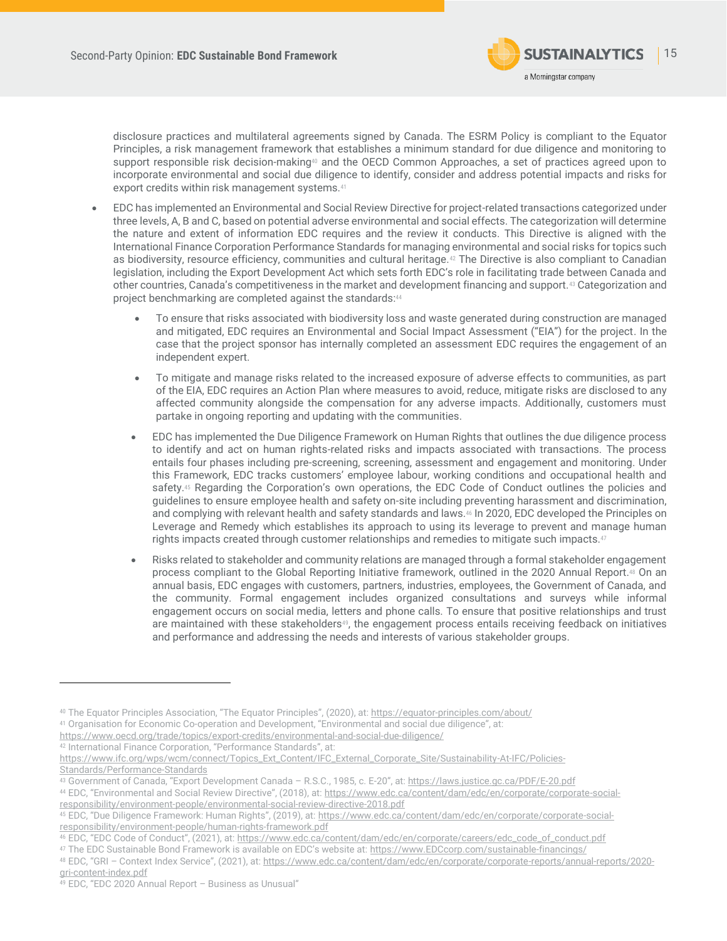

disclosure practices and multilateral agreements signed by Canada. The ESRM Policy is compliant to the Equator Principles, a risk management framework that establishes a minimum standard for due diligence and monitoring to support responsible risk decision-making<sup>40</sup> and the OECD Common Approaches, a set of practices agreed upon to incorporate environmental and social due diligence to identify, consider and address potential impacts and risks for export credits within risk management systems.<sup>41</sup>

- EDC has implemented an Environmental and Social Review Directive for project-related transactions categorized under three levels, A, B and C, based on potential adverse environmental and social effects. The categorization will determine the nature and extent of information EDC requires and the review it conducts. This Directive is aligned with the International Finance Corporation Performance Standards for managing environmental and social risks for topics such as biodiversity, resource efficiency, communities and cultural heritage.<sup>42</sup> The Directive is also compliant to Canadian legislation, including the Export Development Act which sets forth EDC's role in facilitating trade between Canada and other countries, Canada's competitiveness in the market and development financing and support.<sup>43</sup> Categorization and project benchmarking are completed against the standards:44
	- To ensure that risks associated with biodiversity loss and waste generated during construction are managed and mitigated, EDC requires an Environmental and Social Impact Assessment ("EIA") for the project. In the case that the project sponsor has internally completed an assessment EDC requires the engagement of an independent expert.
	- To mitigate and manage risks related to the increased exposure of adverse effects to communities, as part of the EIA, EDC requires an Action Plan where measures to avoid, reduce, mitigate risks are disclosed to any affected community alongside the compensation for any adverse impacts. Additionally, customers must partake in ongoing reporting and updating with the communities.
	- EDC has implemented the Due Diligence Framework on Human Rights that outlines the due diligence process to identify and act on human rights-related risks and impacts associated with transactions. The process entails four phases including pre-screening, screening, assessment and engagement and monitoring. Under this Framework, EDC tracks customers' employee labour, working conditions and occupational health and safety.<sup>45</sup> Regarding the Corporation's own operations, the EDC Code of Conduct outlines the policies and guidelines to ensure employee health and safety on-site including preventing harassment and discrimination, and complying with relevant health and safety standards and laws.<sup>46</sup> In 2020, EDC developed the Principles on Leverage and Remedy which establishes its approach to using its leverage to prevent and manage human rights impacts created through customer relationships and remedies to mitigate such impacts.<sup>47</sup>
	- Risks related to stakeholder and community relations are managed through a formal stakeholder engagement process compliant to the Global Reporting Initiative framework, outlined in the 2020 Annual Report.<sup>48</sup> On an annual basis, EDC engages with customers, partners, industries, employees, the Government of Canada, and the community. Formal engagement includes organized consultations and surveys while informal engagement occurs on social media, letters and phone calls. To ensure that positive relationships and trust are maintained with these stakeholders<sup>49</sup>, the engagement process entails receiving feedback on initiatives and performance and addressing the needs and interests of various stakeholder groups.

- <https://www.oecd.org/trade/topics/export-credits/environmental-and-social-due-diligence/>
- <sup>42</sup> International Finance Corporation, "Performance Standards", at:

<sup>40</sup> The Equator Principles Association, "The Equator Principles", (2020), at[: https://equator-principles.com/about/](https://equator-principles.com/about/)

<sup>41</sup> Organisation for Economic Co-operation and Development, "Environmental and social due diligence", at:

[https://www.ifc.org/wps/wcm/connect/Topics\\_Ext\\_Content/IFC\\_External\\_Corporate\\_Site/Sustainability-At-IFC/Policies-](https://www.ifc.org/wps/wcm/connect/Topics_Ext_Content/IFC_External_Corporate_Site/Sustainability-At-IFC/Policies-Standards/Performance-Standards)[Standards/Performance-Standards](https://www.ifc.org/wps/wcm/connect/Topics_Ext_Content/IFC_External_Corporate_Site/Sustainability-At-IFC/Policies-Standards/Performance-Standards)

<sup>43</sup> Government of Canada, "Export Development Canada – R.S.C., 1985, c. E-20", at: <https://laws.justice.gc.ca/PDF/E-20.pdf>

<sup>44</sup> EDC, "Environmental and Social Review Directive", (2018), at: [https://www.edc.ca/content/dam/edc/en/corporate/corporate-social](https://www.edc.ca/content/dam/edc/en/corporate/corporate-social-responsibility/environment-people/environmental-social-review-directive-2018.pdf)[responsibility/environment-people/environmental-social-review-directive-2018.pdf](https://www.edc.ca/content/dam/edc/en/corporate/corporate-social-responsibility/environment-people/environmental-social-review-directive-2018.pdf)

<sup>45</sup> EDC, "Due Diligence Framework: Human Rights", (2019), at: [https://www.edc.ca/content/dam/edc/en/corporate/corporate-social](https://www.edc.ca/content/dam/edc/en/corporate/corporate-social-responsibility/environment-people/human-rights-framework.pdf)[responsibility/environment-people/human-rights-framework.pdf](https://www.edc.ca/content/dam/edc/en/corporate/corporate-social-responsibility/environment-people/human-rights-framework.pdf)

<sup>46</sup> EDC, "EDC Code of Conduct", (2021), at: [https://www.edc.ca/content/dam/edc/en/corporate/careers/edc\\_code\\_of\\_conduct.pdf](https://www.edc.ca/content/dam/edc/en/corporate/careers/edc_code_of_conduct.pdf)

<sup>47</sup> The EDC Sustainable Bond Framework is available on EDC's website at: [https://www.EDCcorp.com/sustainable-financings/](https://www.edccorp.com/sustainable-financings/)

<sup>48</sup> EDC, "GRI – Context Index Service", (2021), at: [https://www.edc.ca/content/dam/edc/en/corporate/corporate-reports/annual-reports/2020](https://www.edc.ca/content/dam/edc/en/corporate/corporate-reports/annual-reports/2020-gri-content-index.pdf) [gri-content-index.pdf](https://www.edc.ca/content/dam/edc/en/corporate/corporate-reports/annual-reports/2020-gri-content-index.pdf)

<sup>49</sup> EDC, "EDC 2020 Annual Report – Business as Unusual"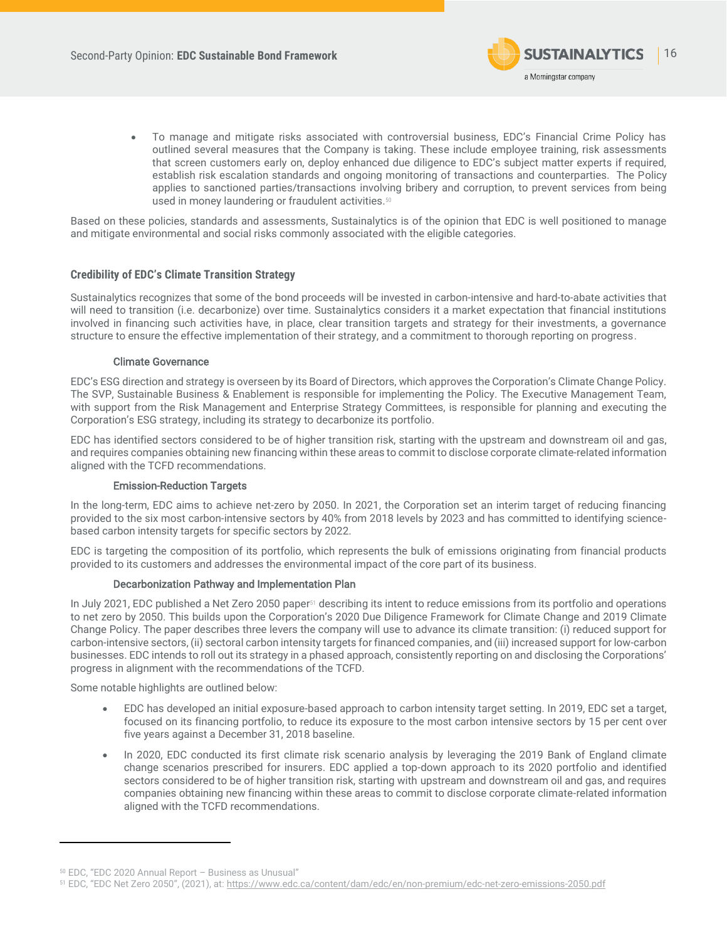

• To manage and mitigate risks associated with controversial business, EDC's Financial Crime Policy has outlined several measures that the Company is taking. These include employee training, risk assessments that screen customers early on, deploy enhanced due diligence to EDC's subject matter experts if required, establish risk escalation standards and ongoing monitoring of transactions and counterparties. The Policy applies to sanctioned parties/transactions involving bribery and corruption, to prevent services from being used in money laundering or fraudulent activities.<sup>50</sup>

Based on these policies, standards and assessments, Sustainalytics is of the opinion that EDC is well positioned to manage and mitigate environmental and social risks commonly associated with the eligible categories.

### **Credibility of EDC's Climate Transition Strategy**

Sustainalytics recognizes that some of the bond proceeds will be invested in carbon-intensive and hard-to-abate activities that will need to transition (i.e. decarbonize) over time. Sustainalytics considers it a market expectation that financial institutions involved in financing such activities have, in place, clear transition targets and strategy for their investments, a governance structure to ensure the effective implementation of their strategy, and a commitment to thorough reporting on progress.

### Climate Governance

EDC's ESG direction and strategy is overseen by its Board of Directors, which approves the Corporation's Climate Change Policy. The SVP, Sustainable Business & Enablement is responsible for implementing the Policy. The Executive Management Team, with support from the Risk Management and Enterprise Strategy Committees, is responsible for planning and executing the Corporation's ESG strategy, including its strategy to decarbonize its portfolio.

EDC has identified sectors considered to be of higher transition risk, starting with the upstream and downstream oil and gas, and requires companies obtaining new financing within these areas to commit to disclose corporate climate-related information aligned with the TCFD recommendations.

### Emission-Reduction Targets

In the long-term, EDC aims to achieve net-zero by 2050. In 2021, the Corporation set an interim target of reducing financing provided to the six most carbon-intensive sectors by 40% from 2018 levels by 2023 and has committed to identifying sciencebased carbon intensity targets for specific sectors by 2022.

EDC is targeting the composition of its portfolio, which represents the bulk of emissions originating from financial products provided to its customers and addresses the environmental impact of the core part of its business.

### Decarbonization Pathway and Implementation Plan

In July 2021, EDC published a Net Zero 2050 paper<sup>51</sup> describing its intent to reduce emissions from its portfolio and operations to net zero by 2050. This builds upon the Corporation's 2020 Due Diligence Framework for Climate Change and 2019 Climate Change Policy. The paper describes three levers the company will use to advance its climate transition: (i) reduced support for carbon-intensive sectors, (ii) sectoral carbon intensity targets for financed companies, and (iii) increased support for low-carbon businesses. EDC intends to roll out its strategy in a phased approach, consistently reporting on and disclosing the Corporations' progress in alignment with the recommendations of the TCFD.

Some notable highlights are outlined below:

- EDC has developed an initial exposure-based approach to carbon intensity target setting. In 2019, EDC set a target, focused on its financing portfolio, to reduce its exposure to the most carbon intensive sectors by 15 per cent over five years against a December 31, 2018 baseline.
- In 2020, EDC conducted its first climate risk scenario analysis by leveraging the 2019 Bank of England climate change scenarios prescribed for insurers. EDC applied a top-down approach to its 2020 portfolio and identified sectors considered to be of higher transition risk, starting with upstream and downstream oil and gas, and requires companies obtaining new financing within these areas to commit to disclose corporate climate-related information aligned with the TCFD recommendations.

<sup>50</sup> EDC, "EDC 2020 Annual Report – Business as Unusual"

<sup>51</sup> EDC, "EDC Net Zero 2050", (2021), at: <https://www.edc.ca/content/dam/edc/en/non-premium/edc-net-zero-emissions-2050.pdf>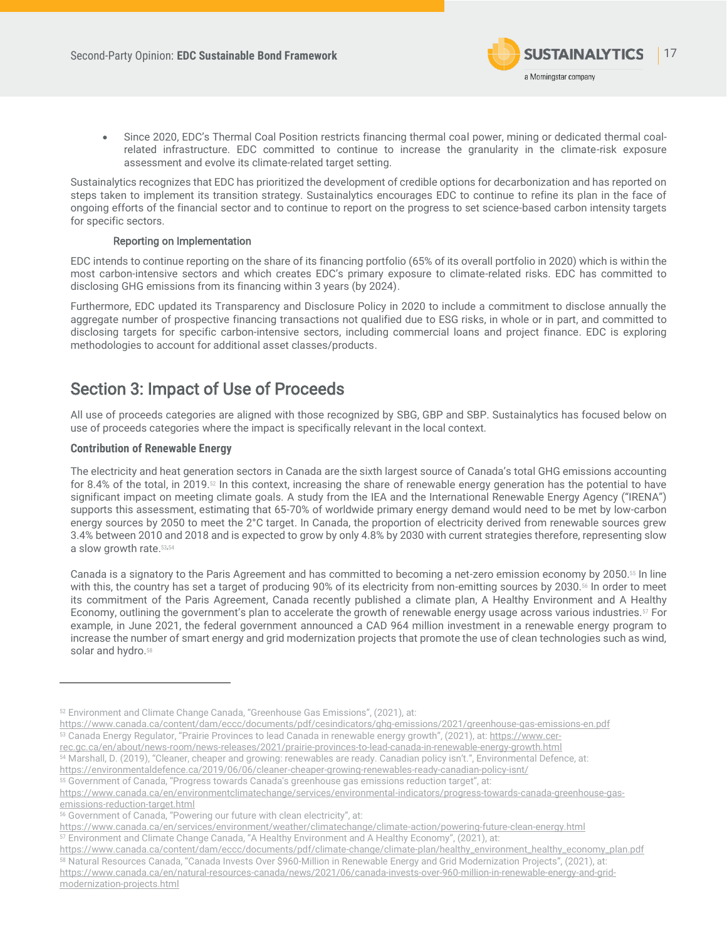

• Since 2020, EDC's Thermal Coal Position restricts financing thermal coal power, mining or dedicated thermal coalrelated infrastructure. EDC committed to continue to increase the granularity in the climate-risk exposure assessment and evolve its climate-related target setting.

Sustainalytics recognizes that EDC has prioritized the development of credible options for decarbonization and has reported on steps taken to implement its transition strategy. Sustainalytics encourages EDC to continue to refine its plan in the face of ongoing efforts of the financial sector and to continue to report on the progress to set science-based carbon intensity targets for specific sectors.

### Reporting on Implementation

EDC intends to continue reporting on the share of its financing portfolio (65% of its overall portfolio in 2020) which is within the most carbon-intensive sectors and which creates EDC's primary exposure to climate-related risks. EDC has committed to disclosing GHG emissions from its financing within 3 years (by 2024).

Furthermore, EDC updated its Transparency and Disclosure Policy in 2020 to include a commitment to disclose annually the aggregate number of prospective financing transactions not qualified due to ESG risks, in whole or in part, and committed to disclosing targets for specific carbon-intensive sectors, including commercial loans and project finance. EDC is exploring methodologies to account for additional asset classes/products.

# <span id="page-16-0"></span>Section 3: Impact of Use of Proceeds

All use of proceeds categories are aligned with those recognized by SBG, GBP and SBP. Sustainalytics has focused below on use of proceeds categories where the impact is specifically relevant in the local context.

### **Contribution of Renewable Energy**

The electricity and heat generation sectors in Canada are the sixth largest source of Canada's total GHG emissions accounting for 8.4% of the total, in 2019.<sup>52</sup> In this context, increasing the share of renewable energy generation has the potential to have significant impact on meeting climate goals. A study from the IEA and the International Renewable Energy Agency ("IRENA") supports this assessment, estimating that 65-70% of worldwide primary energy demand would need to be met by low-carbon energy sources by 2050 to meet the 2°C target. In Canada, the proportion of electricity derived from renewable sources grew 3.4% between 2010 and 2018 and is expected to grow by only 4.8% by 2030 with current strategies therefore, representing slow a slow growth rate. 53,54

Canada is a signatory to the Paris Agreement and has committed to becoming a net-zero emission economy by 2050.<sup>55</sup> In line with this, the country has set a target of producing 90% of its electricity from non-emitting sources by 2030.<sup>56</sup> In order to meet its commitment of the Paris Agreement, Canada recently published a climate plan, A Healthy Environment and A Healthy Economy, outlining the government's plan to accelerate the growth of renewable energy usage across various industries.<sup>57</sup> For example, in June 2021, the federal government announced a CAD 964 million investment in a renewable energy program to increase the number of smart energy and grid modernization projects that promote the use of clean technologies such as wind, solar and hydro.<sup>58</sup>

<https://www.canada.ca/content/dam/eccc/documents/pdf/cesindicators/ghg-emissions/2021/greenhouse-gas-emissions-en.pdf> 53 Canada Energy Regulator, "Prairie Provinces to lead Canada in renewable energy growth", (2021), at: [https://www.cer-](https://www.cer-rec.gc.ca/en/about/news-room/news-releases/2021/prairie-provinces-to-lead-canada-in-renewable-energy-growth.html)

[rec.gc.ca/en/about/news-room/news-releases/2021/prairie-provinces-to-lead-canada-in-renewable-energy-growth.html](https://www.cer-rec.gc.ca/en/about/news-room/news-releases/2021/prairie-provinces-to-lead-canada-in-renewable-energy-growth.html)

<sup>54</sup> Marshall, D. (2019), "Cleaner, cheaper and growing: renewables are ready. Canadian policy isn't.", Environmental Defence, at:

<https://environmentaldefence.ca/2019/06/06/cleaner-cheaper-growing-renewables-ready-canadian-policy-isnt/>

<sup>55</sup> Government of Canada, "Progress towards Canada's greenhouse gas emissions reduction target", at:

[https://www.canada.ca/en/environmentclimatechange/services/environmental-indicators/progress-towards-canada-greenhouse-gas](https://www.canada.ca/en/environmentclimatechange/services/environmental-indicators/progress-towards-canada-greenhouse-gas-emissions-reduction-target.html)[emissions-reduction-target.html](https://www.canada.ca/en/environmentclimatechange/services/environmental-indicators/progress-towards-canada-greenhouse-gas-emissions-reduction-target.html)

<https://www.canada.ca/en/services/environment/weather/climatechange/climate-action/powering-future-clean-energy.html> <sup>57</sup> Environment and Climate Change Canada, "A Healthy Environment and A Healthy Economy", (2021), at:

<sup>52</sup> Environment and Climate Change Canada, "Greenhouse Gas Emissions", (2021), at:

<sup>56</sup> Government of Canada, "Powering our future with clean electricity", at:

[https://www.canada.ca/content/dam/eccc/documents/pdf/climate-change/climate-plan/healthy\\_environment\\_healthy\\_economy\\_plan.pdf](https://www.canada.ca/content/dam/eccc/documents/pdf/climate-change/climate-plan/healthy_environment_healthy_economy_plan.pdf) <sup>58</sup> Natural Resources Canada, "Canada Invests Over \$960-Million in Renewable Energy and Grid Modernization Projects", (2021), at: [https://www.canada.ca/en/natural-resources-canada/news/2021/06/canada-invests-over-960-million-in-renewable-energy-and-grid](https://www.canada.ca/en/natural-resources-canada/news/2021/06/canada-invests-over-960-million-in-renewable-energy-and-grid-modernization-projects.html)[modernization-projects.html](https://www.canada.ca/en/natural-resources-canada/news/2021/06/canada-invests-over-960-million-in-renewable-energy-and-grid-modernization-projects.html)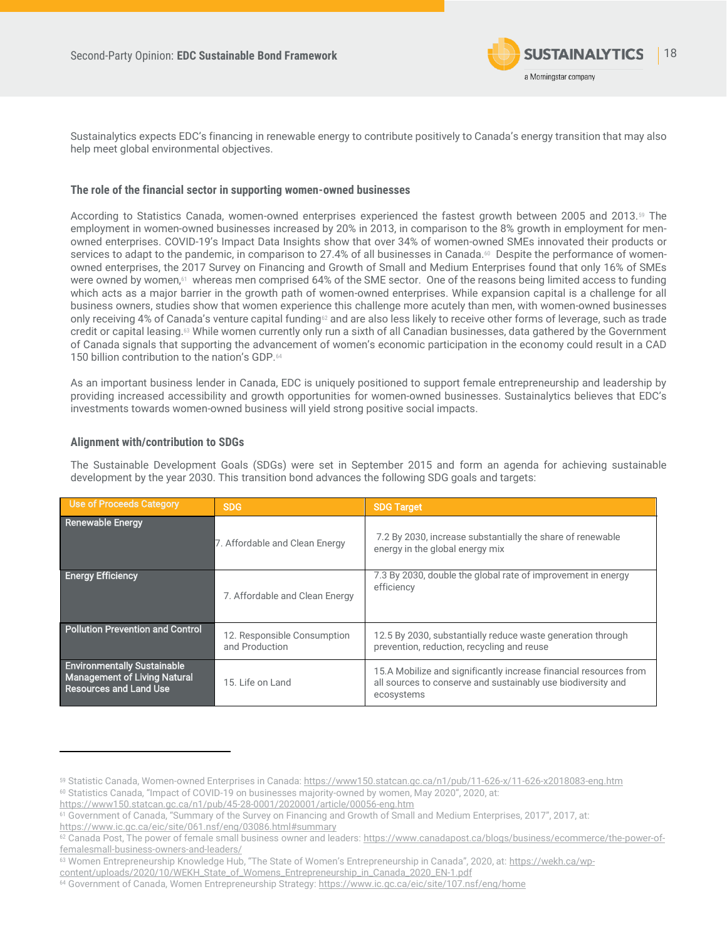

Sustainalytics expects EDC's financing in renewable energy to contribute positively to Canada's energy transition that may also help meet global environmental objectives.

### **The role of the financial sector in supporting women-owned businesses**

According to Statistics Canada, women-owned enterprises experienced the fastest growth between 2005 and 2013.<sup>59</sup> The employment in women-owned businesses increased by 20% in 2013, in comparison to the 8% growth in employment for menowned enterprises. COVID-19's Impact Data Insights show that over 34% of women-owned SMEs innovated their products or services to adapt to the pandemic, in comparison to 27.4% of all businesses in Canada.<sup>60</sup> Despite the performance of womenowned enterprises, the 2017 Survey on Financing and Growth of Small and Medium Enterprises found that only 16% of SMEs were owned by women,61 whereas men comprised 64% of the SME sector. One of the reasons being limited access to funding which acts as a major barrier in the growth path of women-owned enterprises. While expansion capital is a challenge for all business owners, studies show that women experience this challenge more acutely than men, with women-owned businesses only receiving 4% of Canada's venture capital funding<sup>62</sup> and are also less likely to receive other forms of leverage, such as trade credit or capital leasing.<sup>63</sup> While women currently only run a sixth of all Canadian businesses, data gathered by the Government of Canada signals that supporting the advancement of women's economic participation in the economy could result in a CAD 150 billion contribution to the nation's GDP.<sup>64</sup>

As an important business lender in Canada, EDC is uniquely positioned to support female entrepreneurship and leadership by providing increased accessibility and growth opportunities for women-owned businesses. Sustainalytics believes that EDC's investments towards women-owned business will yield strong positive social impacts.

### **Alignment with/contribution to SDGs**

The Sustainable Development Goals (SDGs) were set in September 2015 and form an agenda for achieving sustainable development by the year 2030. This transition bond advances the following SDG goals and targets:

| Use of Proceeds Category                                                                                   | <b>SDG</b>                                    | <b>SDG Target</b>                                                                                                                               |
|------------------------------------------------------------------------------------------------------------|-----------------------------------------------|-------------------------------------------------------------------------------------------------------------------------------------------------|
| <b>Renewable Energy</b>                                                                                    | 7. Affordable and Clean Energy                | 7.2 By 2030, increase substantially the share of renewable<br>energy in the global energy mix                                                   |
| <b>Energy Efficiency</b>                                                                                   | 7. Affordable and Clean Energy                | 7.3 By 2030, double the global rate of improvement in energy<br>efficiency                                                                      |
| Pollution Prevention and Control                                                                           | 12. Responsible Consumption<br>and Production | 12.5 By 2030, substantially reduce waste generation through<br>prevention, reduction, recycling and reuse                                       |
| <b>Environmentally Sustainable</b><br><b>Management of Living Natural</b><br><b>Resources and Land Use</b> | 15. Life on Land                              | 15.A Mobilize and significantly increase financial resources from<br>all sources to conserve and sustainably use biodiversity and<br>ecosystems |

<https://www150.statcan.gc.ca/n1/pub/45-28-0001/2020001/article/00056-eng.htm>

<https://www.ic.gc.ca/eic/site/061.nsf/eng/03086.html#summary>

<sup>59</sup> Statistic Canada, Women-owned Enterprises in Canada[: https://www150.statcan.gc.ca/n1/pub/11-626-x/11-626-x2018083-eng.htm](https://www150.statcan.gc.ca/n1/pub/11-626-x/11-626-x2018083-eng.htm) <sup>60</sup> Statistics Canada, "Impact of COVID-19 on businesses majority-owned by women, May 2020", 2020, at:

<sup>61</sup> Government of Canada, "Summary of the Survey on Financing and Growth of Small and Medium Enterprises, 2017", 2017, at:

<sup>62</sup> Canada Post, The power of female small business owner and leaders[: https://www.canadapost.ca/blogs/business/ecommerce/the-power-of](https://www.canadapost.ca/blogs/business/ecommerce/the-power-of-femalesmall-business-owners-and-leaders/)[femalesmall-business-owners-and-leaders/](https://www.canadapost.ca/blogs/business/ecommerce/the-power-of-femalesmall-business-owners-and-leaders/)

<sup>63</sup> Women Entrepreneurship Knowledge Hub, "The State of Women's Entrepreneurship in Canada", 2020, at: [https://wekh.ca/wp-](https://wekh.ca/wp-content/uploads/2020/10/WEKH_State_of_Womens_Entrepreneurship_in_Canada_2020_EN-1.pdf)

[content/uploads/2020/10/WEKH\\_State\\_of\\_Womens\\_Entrepreneurship\\_in\\_Canada\\_2020\\_EN-1.pdf](https://wekh.ca/wp-content/uploads/2020/10/WEKH_State_of_Womens_Entrepreneurship_in_Canada_2020_EN-1.pdf)

<sup>&</sup>lt;sup>64</sup> Government of Canada, Women Entrepreneurship Strategy[: https://www.ic.gc.ca/eic/site/107.nsf/eng/home](https://www.ic.gc.ca/eic/site/107.nsf/eng/home)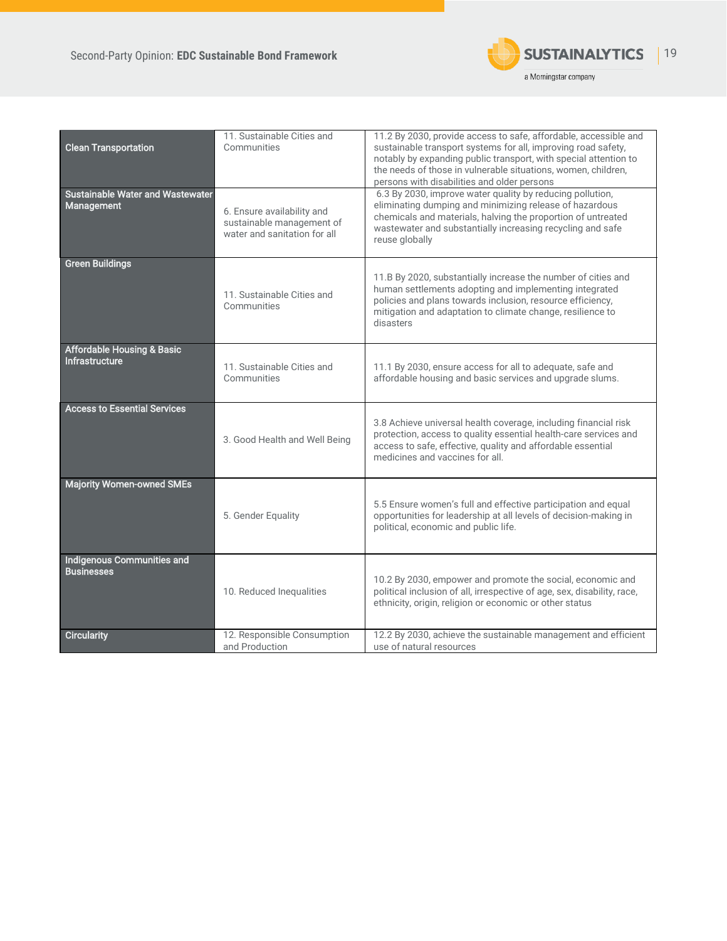

<span id="page-18-0"></span>

| <b>Clean Transportation</b>                                    | 11. Sustainable Cities and<br>Communities                                               | 11.2 By 2030, provide access to safe, affordable, accessible and<br>sustainable transport systems for all, improving road safety,<br>notably by expanding public transport, with special attention to<br>the needs of those in vulnerable situations, women, children,<br>persons with disabilities and older persons |
|----------------------------------------------------------------|-----------------------------------------------------------------------------------------|-----------------------------------------------------------------------------------------------------------------------------------------------------------------------------------------------------------------------------------------------------------------------------------------------------------------------|
| <b>Sustainable Water and Wastewater</b><br>Management          | 6. Ensure availability and<br>sustainable management of<br>water and sanitation for all | 6.3 By 2030, improve water quality by reducing pollution,<br>eliminating dumping and minimizing release of hazardous<br>chemicals and materials, halving the proportion of untreated<br>wastewater and substantially increasing recycling and safe<br>reuse globally                                                  |
| <b>Green Buildings</b>                                         | 11. Sustainable Cities and<br>Communities                                               | 11.B By 2020, substantially increase the number of cities and<br>human settlements adopting and implementing integrated<br>policies and plans towards inclusion, resource efficiency,<br>mitigation and adaptation to climate change, resilience to<br>disasters                                                      |
| <b>Affordable Housing &amp; Basic</b><br><b>Infrastructure</b> | 11. Sustainable Cities and<br>Communities                                               | 11.1 By 2030, ensure access for all to adequate, safe and<br>affordable housing and basic services and upgrade slums.                                                                                                                                                                                                 |
| <b>Access to Essential Services</b>                            | 3. Good Health and Well Being                                                           | 3.8 Achieve universal health coverage, including financial risk<br>protection, access to quality essential health-care services and<br>access to safe, effective, quality and affordable essential<br>medicines and vaccines for all.                                                                                 |
| <b>Majority Women-owned SMEs</b>                               | 5. Gender Equality                                                                      | 5.5 Ensure women's full and effective participation and equal<br>opportunities for leadership at all levels of decision-making in<br>political, economic and public life.                                                                                                                                             |
| <b>Indigenous Communities and</b><br><b>Businesses</b>         | 10. Reduced Inequalities                                                                | 10.2 By 2030, empower and promote the social, economic and<br>political inclusion of all, irrespective of age, sex, disability, race,<br>ethnicity, origin, religion or economic or other status                                                                                                                      |
| <b>Circularity</b>                                             | 12. Responsible Consumption<br>and Production                                           | 12.2 By 2030, achieve the sustainable management and efficient<br>use of natural resources                                                                                                                                                                                                                            |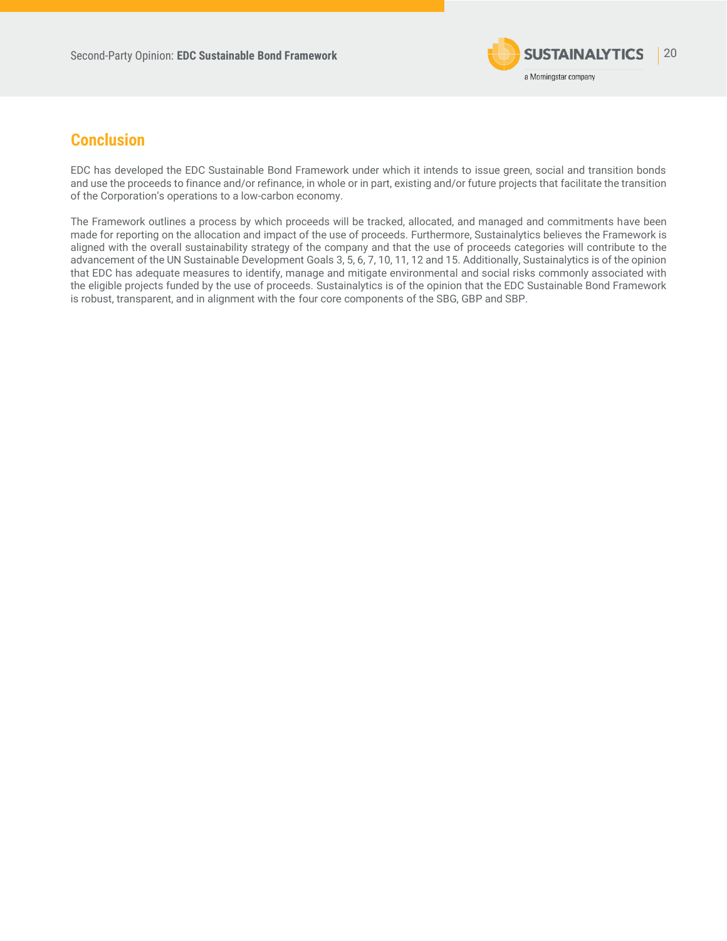

## **Conclusion**

<span id="page-19-0"></span>EDC has developed the EDC Sustainable Bond Framework under which it intends to issue green, social and transition bonds and use the proceeds to finance and/or refinance, in whole or in part, existing and/or future projects that facilitate the transition of the Corporation's operations to a low-carbon economy.

The Framework outlines a process by which proceeds will be tracked, allocated, and managed and commitments have been made for reporting on the allocation and impact of the use of proceeds. Furthermore, Sustainalytics believes the Framework is aligned with the overall sustainability strategy of the company and that the use of proceeds categories will contribute to the advancement of the UN Sustainable Development Goals 3, 5, 6, 7, 10, 11, 12 and 15. Additionally, Sustainalytics is of the opinion that EDC has adequate measures to identify, manage and mitigate environmental and social risks commonly associated with the eligible projects funded by the use of proceeds. Sustainalytics is of the opinion that the EDC Sustainable Bond Framework is robust, transparent, and in alignment with the four core components of the SBG, GBP and SBP.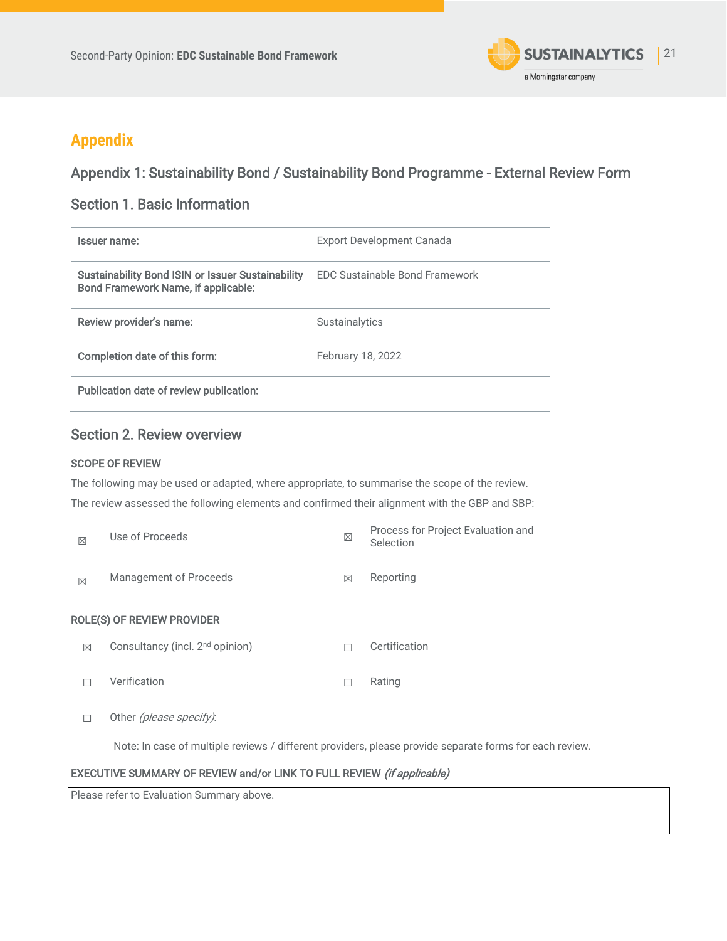

# **Appendix**

### Appendix 1: Sustainability Bond / Sustainability Bond Programme - External Review Form

### Section 1. Basic Information

| Issuer name:                                                                                           | Export Development Canada             |
|--------------------------------------------------------------------------------------------------------|---------------------------------------|
| <b>Sustainability Bond ISIN or Issuer Sustainability</b><br><b>Bond Framework Name, if applicable:</b> | <b>FDC Sustainable Bond Framework</b> |
| Review provider's name:                                                                                | Sustainalytics                        |
| Completion date of this form:                                                                          | February 18, 2022                     |
| Publication date of review publication:                                                                |                                       |

### Section 2. Review overview

### SCOPE OF REVIEW

The following may be used or adapted, where appropriate, to summarise the scope of the review. The review assessed the following elements and confirmed their alignment with the GBP and SBP:

| $\boxtimes$ | Use of Proceeds                             | $\boxtimes$ | Process for Project Evaluation and<br>Selection |
|-------------|---------------------------------------------|-------------|-------------------------------------------------|
| $\boxtimes$ | <b>Management of Proceeds</b>               | $\boxtimes$ | Reporting                                       |
|             | <b>ROLE(S) OF REVIEW PROVIDER</b>           |             |                                                 |
| X           | Consultancy (incl. 2 <sup>nd</sup> opinion) | П           | Certification                                   |
| П           | Verification                                | П           | Rating                                          |
|             | Other (please specify):                     |             |                                                 |

Note: In case of multiple reviews / different providers, please provide separate forms for each review.

### EXECUTIVE SUMMARY OF REVIEW and/or LINK TO FULL REVIEW (if applicable)

Please refer to Evaluation Summary above.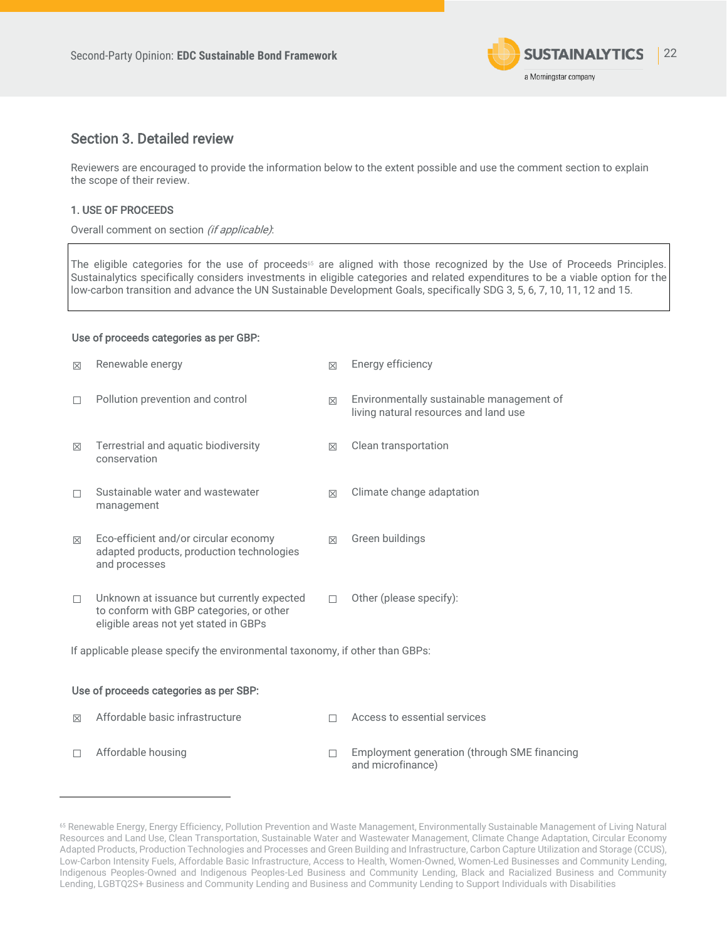

### Section 3. Detailed review

Reviewers are encouraged to provide the information below to the extent possible and use the comment section to explain the scope of their review.

### 1. USE OF PROCEEDS

Overall comment on section (if applicable):

The eligible categories for the use of proceeds<sup>65</sup> are aligned with those recognized by the Use of Proceeds Principles. Sustainalytics specifically considers investments in eligible categories and related expenditures to be a viable option for the low-carbon transition and advance the UN Sustainable Development Goals, specifically SDG 3, 5, 6, 7, 10, 11, 12 and 15.

### Use of proceeds categories as per GBP:

| 区                                                                            | Renewable energy                                                                                                                | X           | Energy efficiency                                                                  |  |  |  |
|------------------------------------------------------------------------------|---------------------------------------------------------------------------------------------------------------------------------|-------------|------------------------------------------------------------------------------------|--|--|--|
|                                                                              | Pollution prevention and control                                                                                                | $\boxtimes$ | Environmentally sustainable management of<br>living natural resources and land use |  |  |  |
| $\boxtimes$                                                                  | Terrestrial and aquatic biodiversity<br>conservation                                                                            | $\boxtimes$ | Clean transportation                                                               |  |  |  |
|                                                                              | Sustainable water and wastewater<br>management                                                                                  | $\boxtimes$ | Climate change adaptation                                                          |  |  |  |
| $\boxtimes$                                                                  | Eco-efficient and/or circular economy<br>adapted products, production technologies<br>and processes                             | $\boxtimes$ | Green buildings                                                                    |  |  |  |
| $\Box$                                                                       | Unknown at issuance but currently expected<br>to conform with GBP categories, or other<br>eligible areas not yet stated in GBPs | п           | Other (please specify):                                                            |  |  |  |
| If applicable please specify the environmental taxonomy, if other than GBPs: |                                                                                                                                 |             |                                                                                    |  |  |  |
| Use of proceeds categories as per SBP:                                       |                                                                                                                                 |             |                                                                                    |  |  |  |
| ⊠                                                                            | Affordable basic infrastructure                                                                                                 |             | Access to essential services                                                       |  |  |  |
|                                                                              | Affordable housing                                                                                                              |             | Employment generation (through SME financing                                       |  |  |  |

and microfinance)

<sup>65</sup> Renewable Energy, Energy Efficiency, Pollution Prevention and Waste Management, Environmentally Sustainable Management of Living Natural Resources and Land Use, Clean Transportation, Sustainable Water and Wastewater Management, Climate Change Adaptation, Circular Economy Adapted Products, Production Technologies and Processes and Green Building and Infrastructure, Carbon Capture Utilization and Storage (CCUS), Low-Carbon Intensity Fuels, Affordable Basic Infrastructure, Access to Health, Women-Owned, Women-Led Businesses and Community Lending, Indigenous Peoples-Owned and Indigenous Peoples-Led Business and Community Lending, Black and Racialized Business and Community Lending, LGBTQ2S+ Business and Community Lending and Business and Community Lending to Support Individuals with Disabilities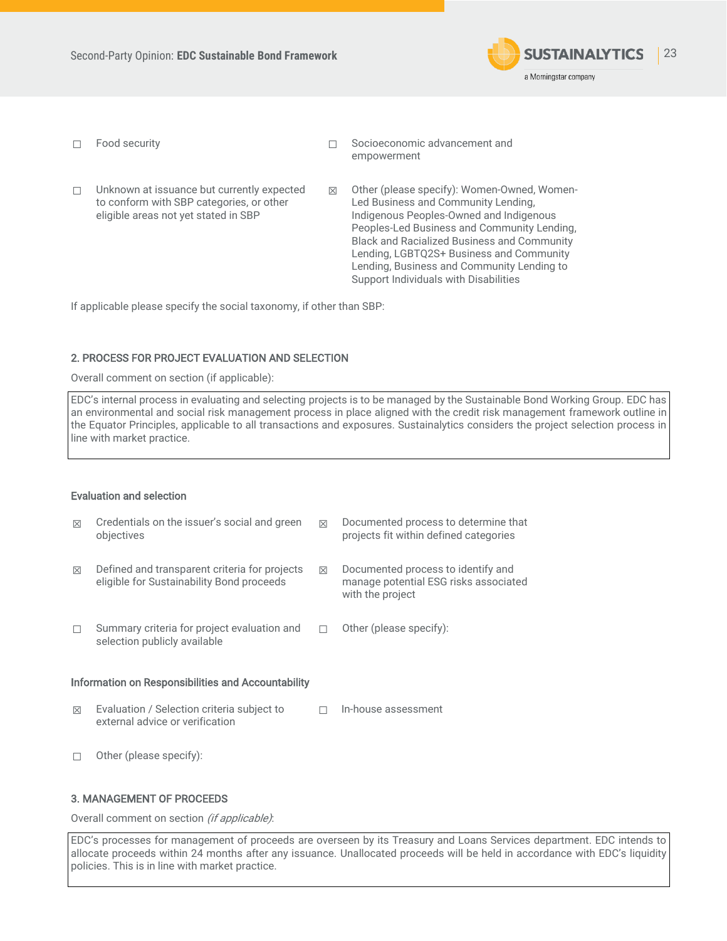

- 
- ☐ Food security ☐ Socioeconomic advancement and empowerment
- ☐ Unknown at issuance but currently expected to conform with SBP categories, or other eligible areas not yet stated in SBP ☒ Other (please specify): Women-Owned, Women-Led Business and Community Lending, Indigenous Peoples-Owned and Indigenous Peoples-Led Business and Community Lending, Black and Racialized Business and Community Lending, LGBTQ2S+ Business and Community Lending, Business and Community Lending to Support Individuals with Disabilities

If applicable please specify the social taxonomy, if other than SBP:

### 2. PROCESS FOR PROJECT EVALUATION AND SELECTION

Overall comment on section (if applicable):

EDC's internal process in evaluating and selecting projects is to be managed by the Sustainable Bond Working Group. EDC has an environmental and social risk management process in place aligned with the credit risk management framework outline in the Equator Principles, applicable to all transactions and exposures. Sustainalytics considers the project selection process in line with market practice.

### Evaluation and selection

| ⊠                                                  | Credentials on the issuer's social and green<br>objectives                                 | ⊠           | Documented process to determine that<br>projects fit within defined categories                  |  |  |
|----------------------------------------------------|--------------------------------------------------------------------------------------------|-------------|-------------------------------------------------------------------------------------------------|--|--|
| ⊠                                                  | Defined and transparent criteria for projects<br>eligible for Sustainability Bond proceeds | $\boxtimes$ | Documented process to identify and<br>manage potential ESG risks associated<br>with the project |  |  |
|                                                    | Summary criteria for project evaluation and<br>selection publicly available                |             | Other (please specify):                                                                         |  |  |
| Information on Responsibilities and Accountability |                                                                                            |             |                                                                                                 |  |  |
| ⊠                                                  | Evaluation / Selection criteria subject to<br>external advice or verification              |             | In-house assessment                                                                             |  |  |
|                                                    | Other (please specify):                                                                    |             |                                                                                                 |  |  |

### 3. MANAGEMENT OF PROCEEDS

Overall comment on section (if applicable):

EDC's processes for management of proceeds are overseen by its Treasury and Loans Services department. EDC intends to allocate proceeds within 24 months after any issuance. Unallocated proceeds will be held in accordance with EDC's liquidity policies. This is in line with market practice.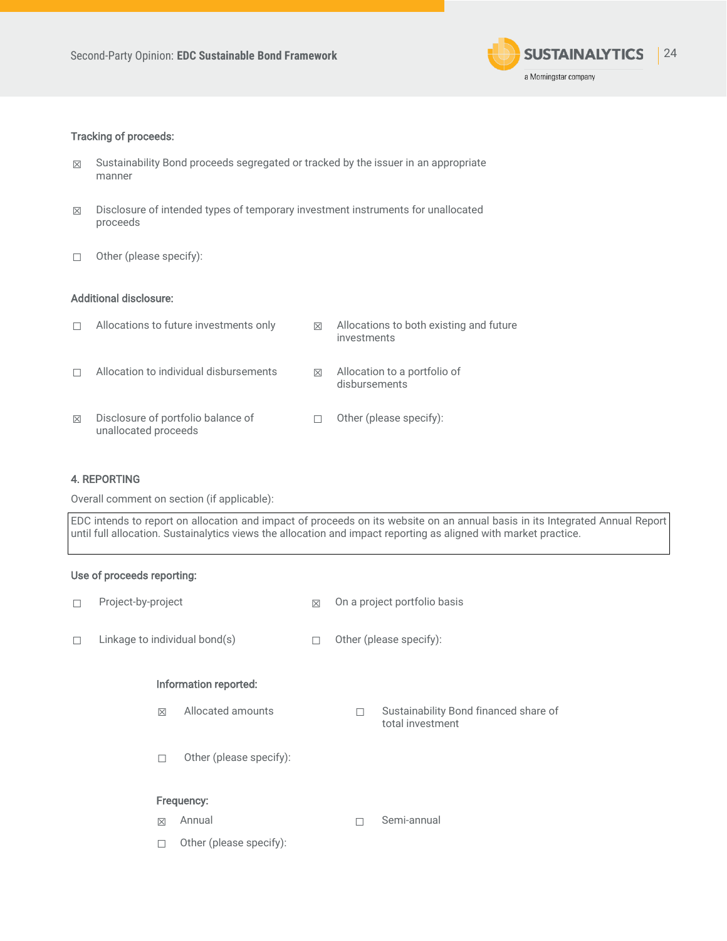

### Tracking of proceeds:

- ☒ Sustainability Bond proceeds segregated or tracked by the issuer in an appropriate manner
- ☒ Disclosure of intended types of temporary investment instruments for unallocated proceeds
- ☐ Other (please specify):

### Additional disclosure:

|   | Allocations to future investments only                     | ⊠           | Allocations to both existing and future<br>investments |
|---|------------------------------------------------------------|-------------|--------------------------------------------------------|
|   | Allocation to individual disbursements                     | $\boxtimes$ | Allocation to a portfolio of<br>disbursements          |
| ⊠ | Disclosure of portfolio balance of<br>unallocated proceeds |             | Other (please specify):                                |

### 4. REPORTING

Overall comment on section (if applicable):

EDC intends to report on allocation and impact of proceeds on its website on an annual basis in its Integrated Annual Report until full allocation. Sustainalytics views the allocation and impact reporting as aligned with market practice.

### Use of proceeds reporting:

| Project-by-project            |                         | X | On a project portfolio basis |                                                           |  |
|-------------------------------|-------------------------|---|------------------------------|-----------------------------------------------------------|--|
| Linkage to individual bond(s) |                         |   | Other (please specify):      |                                                           |  |
|                               | Information reported:   |   |                              |                                                           |  |
| $\boxtimes$                   | Allocated amounts       |   | П                            | Sustainability Bond financed share of<br>total investment |  |
| г                             | Other (please specify): |   |                              |                                                           |  |
|                               | Frequency:              |   |                              |                                                           |  |
| $\boxtimes$                   | Annual                  |   | П                            | Semi-annual                                               |  |
|                               | Other (please specify): |   |                              |                                                           |  |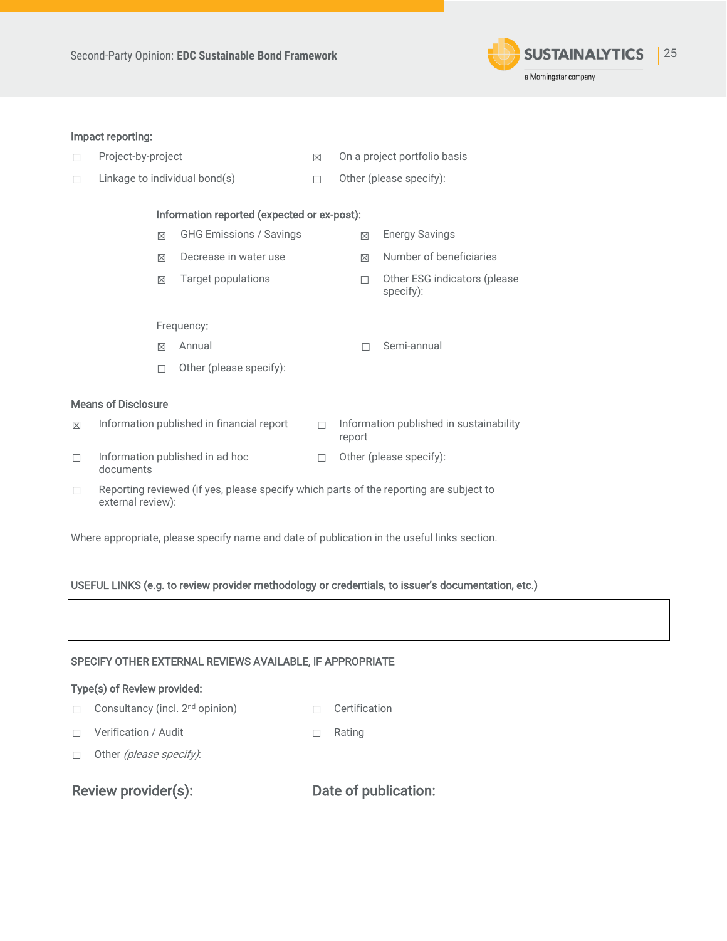

### Impact reporting:

- ☐ Project-by-project ☒ On a project portfolio basis
	-
- ☐ Linkage to individual bond(s) ☐ Other (please specify):

### Information reported (expected or ex-post):

|   | M                          | <b>GHG Emissions / Savings</b>            | 区 | <b>Energy Savings</b>                      |
|---|----------------------------|-------------------------------------------|---|--------------------------------------------|
|   | M                          | Decrease in water use                     | 区 | Number of beneficiaries                    |
|   | $\boxtimes$                | Target populations                        |   | Other ESG indicators (please)<br>specify): |
|   |                            | Frequency:                                |   |                                            |
|   | ⊠                          | Annual                                    |   | Semi-annual                                |
|   |                            | Other (please specify):                   |   |                                            |
|   | <b>Means of Disclosure</b> |                                           |   |                                            |
| 冈 |                            | Information published in financial report |   | Information published in sustainability    |

### $\boxtimes$  Information published in financial report

- ☐ Information published in ad hoc documents ☐ Other (please specify):
- □ Reporting reviewed (if yes, please specify which parts of the reporting are subject to external review):

Where appropriate, please specify name and date of publication in the useful links section.

### USEFUL LINKS (e.g. to review provider methodology or credentials, to issuer's documentation, etc.)



### Type(s) of Review provided:

- ☐ Consultancy (incl. 2nd opinion) ☐ Certification
- ☐ Verification / Audit ☐ Rating
- 

□ Other (please specify):

Review provider(s): Date of publication: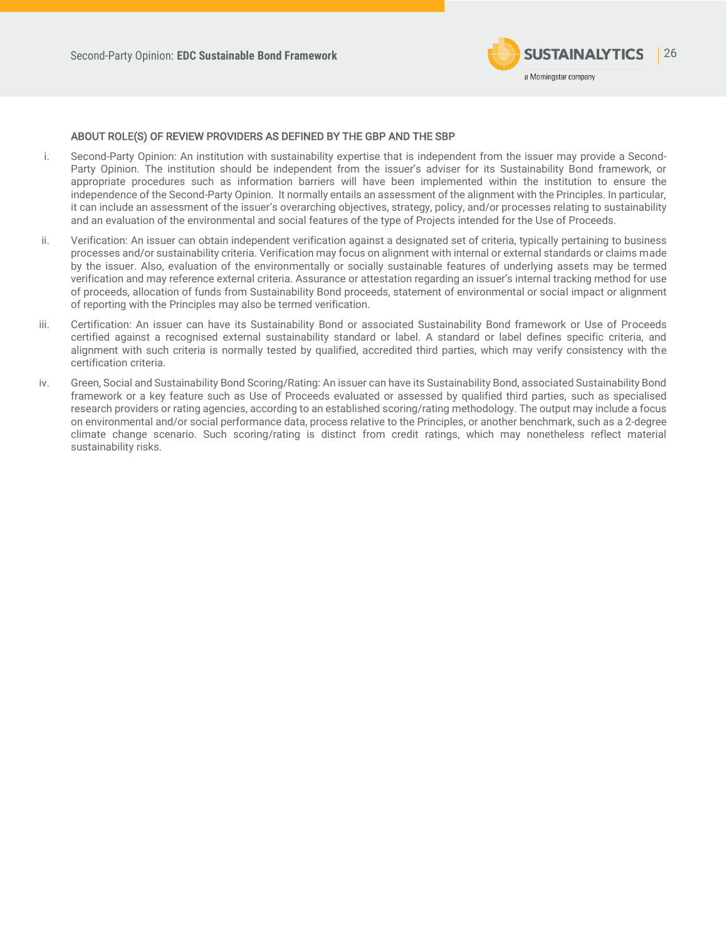

### ABOUT ROLE(S) OF REVIEW PROVIDERS AS DEFINED BY THE GBP AND THE SBP

- i. Second-Party Opinion: An institution with sustainability expertise that is independent from the issuer may provide a Second-Party Opinion. The institution should be independent from the issuer's adviser for its Sustainability Bond framework, or appropriate procedures such as information barriers will have been implemented within the institution to ensure the independence of the Second-Party Opinion. It normally entails an assessment of the alignment with the Principles. In particular, it can include an assessment of the issuer's overarching objectives, strategy, policy, and/or processes relating to sustainability and an evaluation of the environmental and social features of the type of Projects intended for the Use of Proceeds.
- ii. Verification: An issuer can obtain independent verification against a designated set of criteria, typically pertaining to business processes and/or sustainability criteria. Verification may focus on alignment with internal or external standards or claims made by the issuer. Also, evaluation of the environmentally or socially sustainable features of underlying assets may be termed verification and may reference external criteria. Assurance or attestation regarding an issuer's internal tracking method for use of proceeds, allocation of funds from Sustainability Bond proceeds, statement of environmental or social impact or alignment of reporting with the Principles may also be termed verification.
- iii. Certification: An issuer can have its Sustainability Bond or associated Sustainability Bond framework or Use of Proceeds certified against a recognised external sustainability standard or label. A standard or label defines specific criteria, and alignment with such criteria is normally tested by qualified, accredited third parties, which may verify consistency with the certification criteria.
- iv. Green, Social and Sustainability Bond Scoring/Rating: An issuer can have its Sustainability Bond, associated Sustainability Bond framework or a key feature such as Use of Proceeds evaluated or assessed by qualified third parties, such as specialised research providers or rating agencies, according to an established scoring/rating methodology. The output may include a focus on environmental and/or social performance data, process relative to the Principles, or another benchmark, such as a 2-degree climate change scenario. Such scoring/rating is distinct from credit ratings, which may nonetheless reflect material sustainability risks.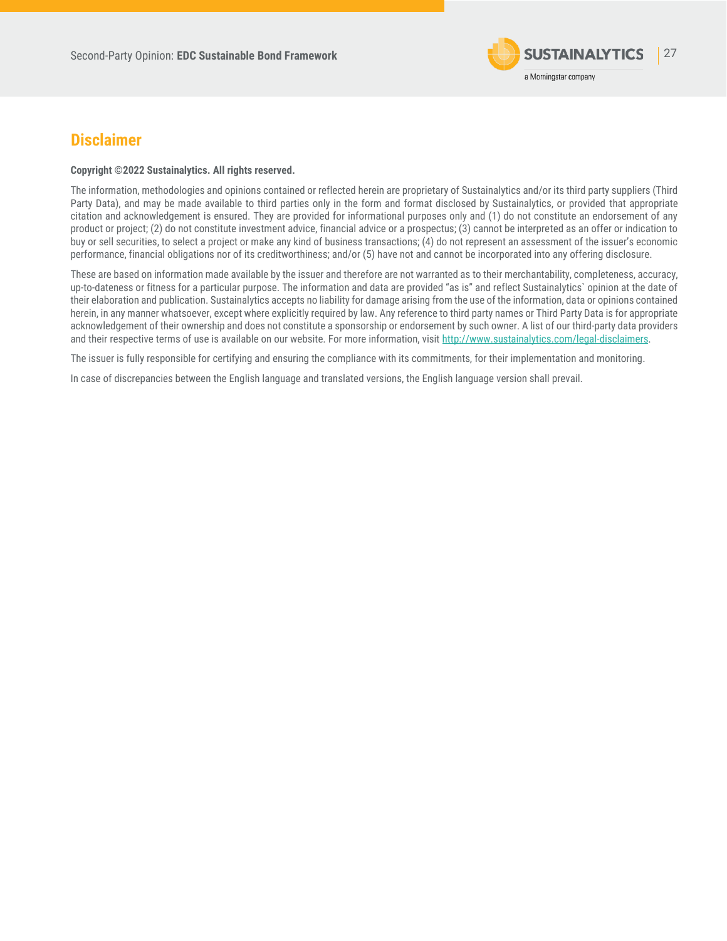

## <span id="page-26-0"></span>**Disclaimer**

#### **Copyright ©2022 Sustainalytics. All rights reserved.**

The information, methodologies and opinions contained or reflected herein are proprietary of Sustainalytics and/or its third party suppliers (Third Party Data), and may be made available to third parties only in the form and format disclosed by Sustainalytics, or provided that appropriate citation and acknowledgement is ensured. They are provided for informational purposes only and (1) do not constitute an endorsement of any product or project; (2) do not constitute investment advice, financial advice or a prospectus; (3) cannot be interpreted as an offer or indication to buy or sell securities, to select a project or make any kind of business transactions; (4) do not represent an assessment of the issuer's economic performance, financial obligations nor of its creditworthiness; and/or (5) have not and cannot be incorporated into any offering disclosure.

These are based on information made available by the issuer and therefore are not warranted as to their merchantability, completeness, accuracy, up-to-dateness or fitness for a particular purpose. The information and data are provided "as is" and reflect Sustainalytics` opinion at the date of their elaboration and publication. Sustainalytics accepts no liability for damage arising from the use of the information, data or opinions contained herein, in any manner whatsoever, except where explicitly required by law. Any reference to third party names or Third Party Data is for appropriate acknowledgement of their ownership and does not constitute a sponsorship or endorsement by such owner. A list of our third-party data providers and their respective terms of use is available on our website. For more information, visi[t http://www.sustainalytics.com/legal-disclaimers.](http://www.sustainalytics.com/legal-disclaimers)

The issuer is fully responsible for certifying and ensuring the compliance with its commitments, for their implementation and monitoring.

In case of discrepancies between the English language and translated versions, the English language version shall prevail.